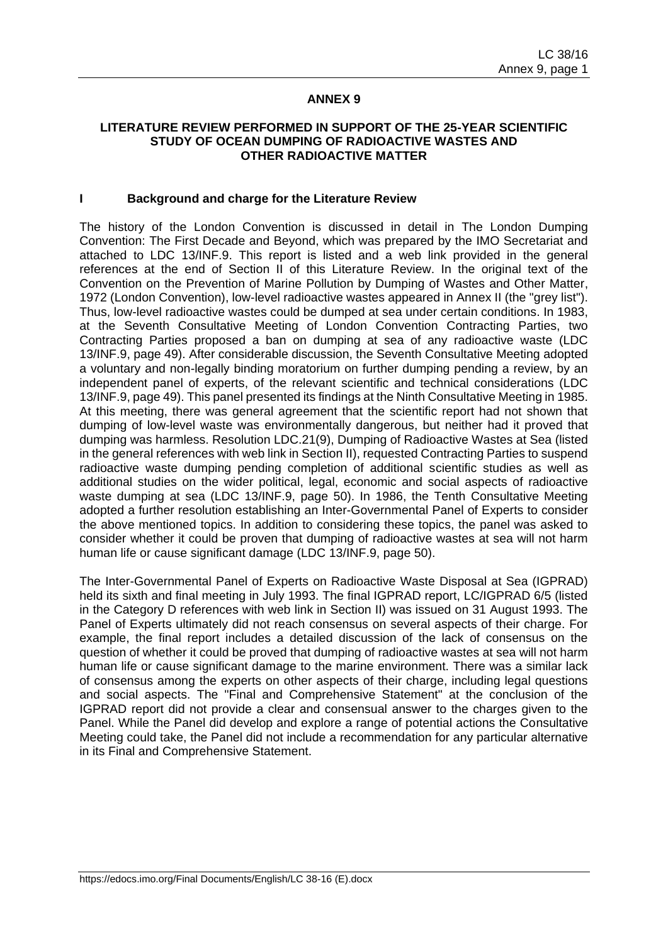#### **ANNEX 9**

### **LITERATURE REVIEW PERFORMED IN SUPPORT OF THE 25-YEAR SCIENTIFIC STUDY OF OCEAN DUMPING OF RADIOACTIVE WASTES AND OTHER RADIOACTIVE MATTER**

#### **I Background and charge for the Literature Review**

The history of the London Convention is discussed in detail in The London Dumping Convention: The First Decade and Beyond, which was prepared by the IMO Secretariat and attached to LDC 13/INF.9. This report is listed and a web link provided in the general references at the end of Section II of this Literature Review. In the original text of the Convention on the Prevention of Marine Pollution by Dumping of Wastes and Other Matter, 1972 (London Convention), low-level radioactive wastes appeared in Annex II (the "grey list"). Thus, low-level radioactive wastes could be dumped at sea under certain conditions. In 1983, at the Seventh Consultative Meeting of London Convention Contracting Parties, two Contracting Parties proposed a ban on dumping at sea of any radioactive waste (LDC 13/INF.9, page 49). After considerable discussion, the Seventh Consultative Meeting adopted a voluntary and non-legally binding moratorium on further dumping pending a review, by an independent panel of experts, of the relevant scientific and technical considerations (LDC 13/INF.9, page 49). This panel presented its findings at the Ninth Consultative Meeting in 1985. At this meeting, there was general agreement that the scientific report had not shown that dumping of low-level waste was environmentally dangerous, but neither had it proved that dumping was harmless. Resolution LDC.21(9), Dumping of Radioactive Wastes at Sea (listed in the general references with web link in Section II), requested Contracting Parties to suspend radioactive waste dumping pending completion of additional scientific studies as well as additional studies on the wider political, legal, economic and social aspects of radioactive waste dumping at sea (LDC 13/INF.9, page 50). In 1986, the Tenth Consultative Meeting adopted a further resolution establishing an Inter-Governmental Panel of Experts to consider the above mentioned topics. In addition to considering these topics, the panel was asked to consider whether it could be proven that dumping of radioactive wastes at sea will not harm human life or cause significant damage (LDC 13/INF.9, page 50).

The Inter-Governmental Panel of Experts on Radioactive Waste Disposal at Sea (IGPRAD) held its sixth and final meeting in July 1993. The final IGPRAD report, LC/IGPRAD 6/5 (listed in the Category D references with web link in Section II) was issued on 31 August 1993. The Panel of Experts ultimately did not reach consensus on several aspects of their charge. For example, the final report includes a detailed discussion of the lack of consensus on the question of whether it could be proved that dumping of radioactive wastes at sea will not harm human life or cause significant damage to the marine environment. There was a similar lack of consensus among the experts on other aspects of their charge, including legal questions and social aspects. The "Final and Comprehensive Statement" at the conclusion of the IGPRAD report did not provide a clear and consensual answer to the charges given to the Panel. While the Panel did develop and explore a range of potential actions the Consultative Meeting could take, the Panel did not include a recommendation for any particular alternative in its Final and Comprehensive Statement.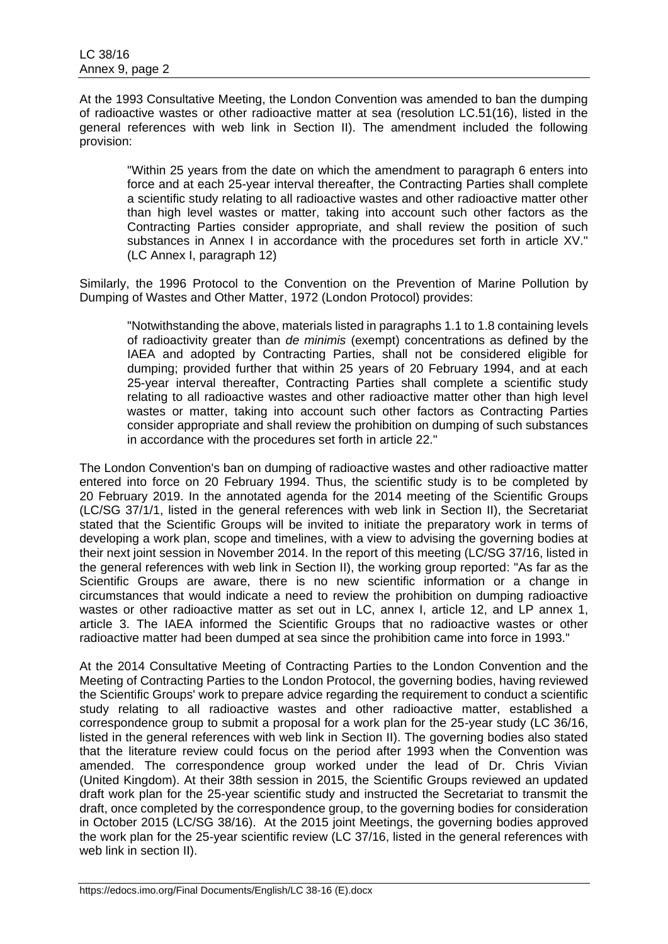At the 1993 Consultative Meeting, the London Convention was amended to ban the dumping of radioactive wastes or other radioactive matter at sea (resolution LC.51(16), listed in the general references with web link in Section II). The amendment included the following provision:

"Within 25 years from the date on which the amendment to paragraph 6 enters into force and at each 25-year interval thereafter, the Contracting Parties shall complete a scientific study relating to all radioactive wastes and other radioactive matter other than high level wastes or matter, taking into account such other factors as the Contracting Parties consider appropriate, and shall review the position of such substances in Annex I in accordance with the procedures set forth in article XV." (LC Annex I, paragraph 12)

Similarly, the 1996 Protocol to the Convention on the Prevention of Marine Pollution by Dumping of Wastes and Other Matter, 1972 (London Protocol) provides:

"Notwithstanding the above, materials listed in paragraphs 1.1 to 1.8 containing levels of radioactivity greater than *de minimis* (exempt) concentrations as defined by the IAEA and adopted by Contracting Parties, shall not be considered eligible for dumping; provided further that within 25 years of 20 February 1994, and at each 25-year interval thereafter, Contracting Parties shall complete a scientific study relating to all radioactive wastes and other radioactive matter other than high level wastes or matter, taking into account such other factors as Contracting Parties consider appropriate and shall review the prohibition on dumping of such substances in accordance with the procedures set forth in article 22."

The London Convention's ban on dumping of radioactive wastes and other radioactive matter entered into force on 20 February 1994. Thus, the scientific study is to be completed by 20 February 2019. In the annotated agenda for the 2014 meeting of the Scientific Groups (LC/SG 37/1/1, listed in the general references with web link in Section II), the Secretariat stated that the Scientific Groups will be invited to initiate the preparatory work in terms of developing a work plan, scope and timelines, with a view to advising the governing bodies at their next joint session in November 2014. In the report of this meeting (LC/SG 37/16, listed in the general references with web link in Section II), the working group reported: "As far as the Scientific Groups are aware, there is no new scientific information or a change in circumstances that would indicate a need to review the prohibition on dumping radioactive wastes or other radioactive matter as set out in LC, annex I, article 12, and LP annex 1, article 3. The IAEA informed the Scientific Groups that no radioactive wastes or other radioactive matter had been dumped at sea since the prohibition came into force in 1993."

At the 2014 Consultative Meeting of Contracting Parties to the London Convention and the Meeting of Contracting Parties to the London Protocol, the governing bodies, having reviewed the Scientific Groups' work to prepare advice regarding the requirement to conduct a scientific study relating to all radioactive wastes and other radioactive matter, established a correspondence group to submit a proposal for a work plan for the 25-year study (LC 36/16, listed in the general references with web link in Section II). The governing bodies also stated that the literature review could focus on the period after 1993 when the Convention was amended. The correspondence group worked under the lead of Dr. Chris Vivian (United Kingdom). At their 38th session in 2015, the Scientific Groups reviewed an updated draft work plan for the 25-year scientific study and instructed the Secretariat to transmit the draft, once completed by the correspondence group, to the governing bodies for consideration in October 2015 (LC/SG 38/16). At the 2015 joint Meetings, the governing bodies approved the work plan for the 25-year scientific review (LC 37/16, listed in the general references with web link in section II).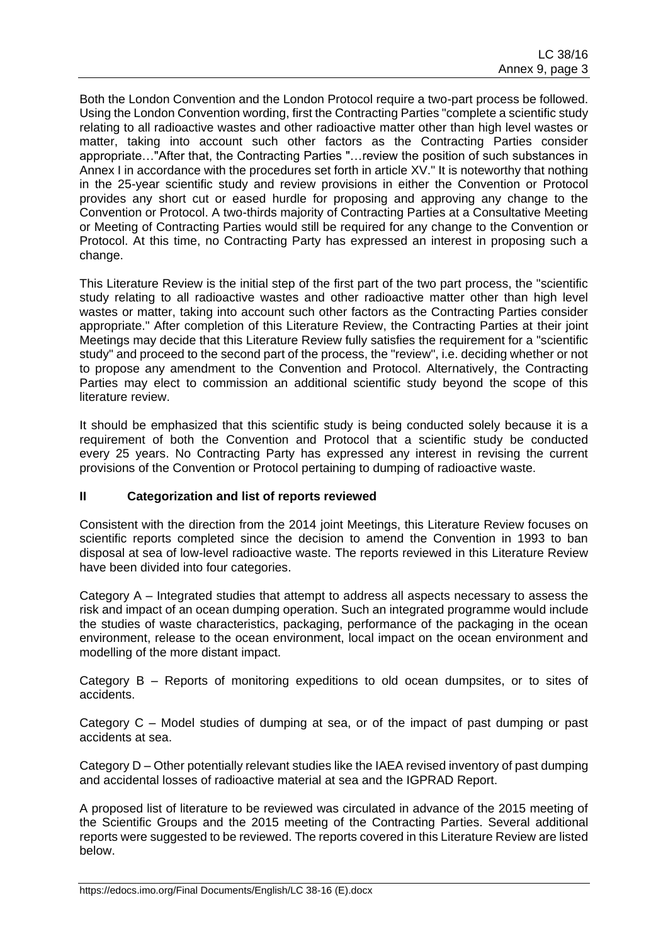Both the London Convention and the London Protocol require a two-part process be followed. Using the London Convention wording, first the Contracting Parties "complete a scientific study relating to all radioactive wastes and other radioactive matter other than high level wastes or matter, taking into account such other factors as the Contracting Parties consider appropriate…"After that, the Contracting Parties "…review the position of such substances in Annex I in accordance with the procedures set forth in article XV." It is noteworthy that nothing in the 25-year scientific study and review provisions in either the Convention or Protocol provides any short cut or eased hurdle for proposing and approving any change to the Convention or Protocol. A two-thirds majority of Contracting Parties at a Consultative Meeting or Meeting of Contracting Parties would still be required for any change to the Convention or Protocol. At this time, no Contracting Party has expressed an interest in proposing such a change.

This Literature Review is the initial step of the first part of the two part process, the "scientific study relating to all radioactive wastes and other radioactive matter other than high level wastes or matter, taking into account such other factors as the Contracting Parties consider appropriate." After completion of this Literature Review, the Contracting Parties at their joint Meetings may decide that this Literature Review fully satisfies the requirement for a "scientific study" and proceed to the second part of the process, the "review", i.e. deciding whether or not to propose any amendment to the Convention and Protocol. Alternatively, the Contracting Parties may elect to commission an additional scientific study beyond the scope of this literature review.

It should be emphasized that this scientific study is being conducted solely because it is a requirement of both the Convention and Protocol that a scientific study be conducted every 25 years. No Contracting Party has expressed any interest in revising the current provisions of the Convention or Protocol pertaining to dumping of radioactive waste.

## **II Categorization and list of reports reviewed**

Consistent with the direction from the 2014 joint Meetings, this Literature Review focuses on scientific reports completed since the decision to amend the Convention in 1993 to ban disposal at sea of low-level radioactive waste. The reports reviewed in this Literature Review have been divided into four categories.

Category A – Integrated studies that attempt to address all aspects necessary to assess the risk and impact of an ocean dumping operation. Such an integrated programme would include the studies of waste characteristics, packaging, performance of the packaging in the ocean environment, release to the ocean environment, local impact on the ocean environment and modelling of the more distant impact.

Category B – Reports of monitoring expeditions to old ocean dumpsites, or to sites of accidents.

Category C – Model studies of dumping at sea, or of the impact of past dumping or past accidents at sea.

Category D – Other potentially relevant studies like the IAEA revised inventory of past dumping and accidental losses of radioactive material at sea and the IGPRAD Report.

A proposed list of literature to be reviewed was circulated in advance of the 2015 meeting of the Scientific Groups and the 2015 meeting of the Contracting Parties. Several additional reports were suggested to be reviewed. The reports covered in this Literature Review are listed below.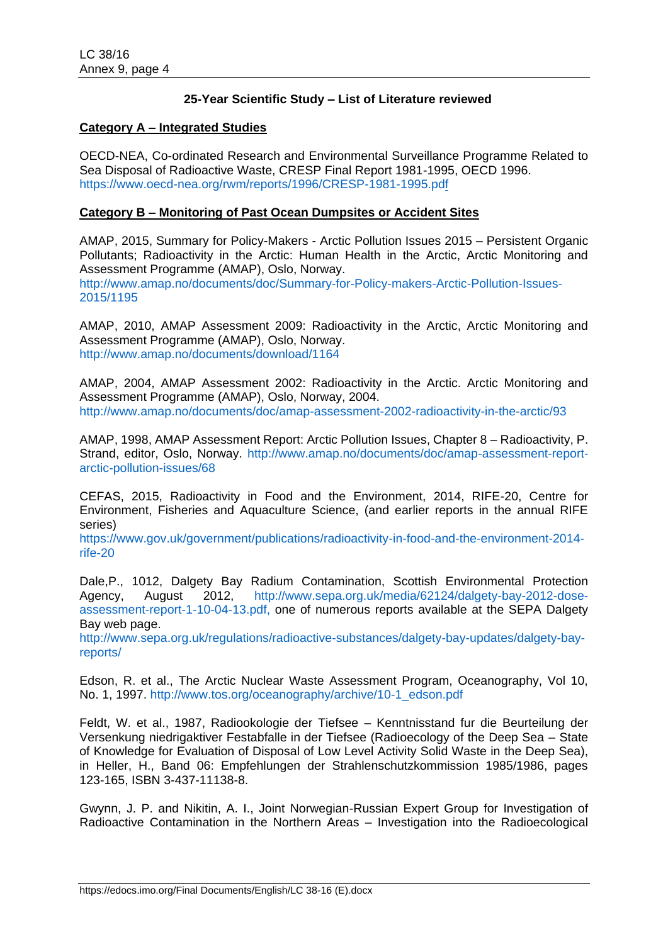## **25-Year Scientific Study – List of Literature reviewed**

### **Category A – Integrated Studies**

OECD-NEA, Co-ordinated Research and Environmental Surveillance Programme Related to Sea Disposal of Radioactive Waste, CRESP Final Report 1981-1995, OECD 1996. <https://www.oecd-nea.org/rwm/reports/1996/CRESP-1981-1995.pdf>

#### **Category B – Monitoring of Past Ocean Dumpsites or Accident Sites**

AMAP, 2015, Summary for Policy-Makers - Arctic Pollution Issues 2015 – Persistent Organic Pollutants; Radioactivity in the Arctic: Human Health in the Arctic, Arctic Monitoring and Assessment Programme (AMAP), Oslo, Norway.

[http://www.amap.no/documents/doc/Summary-for-Policy-makers-Arctic-Pollution-Issues-](http://www.amap.no/documents/doc/Summary-for-Policy-makers-Arctic-Pollution-Issues-2015/1195)[2015/1195](http://www.amap.no/documents/doc/Summary-for-Policy-makers-Arctic-Pollution-Issues-2015/1195)

AMAP, 2010, AMAP Assessment 2009: Radioactivity in the Arctic, Arctic Monitoring and Assessment Programme (AMAP), Oslo, Norway. <http://www.amap.no/documents/download/1164>

AMAP, 2004, AMAP Assessment 2002: Radioactivity in the Arctic. Arctic Monitoring and Assessment Programme (AMAP), Oslo, Norway, 2004. <http://www.amap.no/documents/doc/amap-assessment-2002-radioactivity-in-the-arctic/93>

AMAP, 1998, AMAP Assessment Report: Arctic Pollution Issues, Chapter 8 – Radioactivity, P. Strand, editor, Oslo, Norway. [http://www.amap.no/documents/doc/amap-assessment-report](http://www.amap.no/documents/doc/amap-assessment-report-arctic-pollution-issues/68)[arctic-pollution-issues/68](http://www.amap.no/documents/doc/amap-assessment-report-arctic-pollution-issues/68)

CEFAS, 2015, Radioactivity in Food and the Environment, 2014, RIFE-20, Centre for Environment, Fisheries and Aquaculture Science, (and earlier reports in the annual RIFE series)

[https://www.gov.uk/government/publications/radioactivity-in-food-and-the-environment-2014](https://www.gov.uk/government/publications/radioactivity-in-food-and-the-environment-2014-rife-20) [rife-20](https://www.gov.uk/government/publications/radioactivity-in-food-and-the-environment-2014-rife-20)

Dale,P., 1012, Dalgety Bay Radium Contamination, Scottish Environmental Protection Agency, August 2012, [http://www.sepa.org.uk/media/62124/dalgety-bay-2012-dose](http://www.sepa.org.uk/media/62124/dalgety-bay-2012-dose-assessment-report-1-10-04-13.pdf)[assessment-report-1-10-04-13.pdf,](http://www.sepa.org.uk/media/62124/dalgety-bay-2012-dose-assessment-report-1-10-04-13.pdf) one of numerous reports available at the SEPA Dalgety Bay web page.

[http://www.sepa.org.uk/regulations/radioactive-substances/dalgety-bay-updates/dalgety-bay](http://www.sepa.org.uk/regulations/radioactive-substances/dalgety-bay-updates/dalgety-bay-reports/)[reports/](http://www.sepa.org.uk/regulations/radioactive-substances/dalgety-bay-updates/dalgety-bay-reports/)

Edson, R. et al., The Arctic Nuclear Waste Assessment Program, Oceanography, Vol 10, No. 1, 1997. [http://www.tos.org/oceanography/archive/10-1\\_edson.pdf](http://www.tos.org/oceanography/archive/10-1_edson.pdf)

Feldt, W. et al., 1987, Radiookologie der Tiefsee – Kenntnisstand fur die Beurteilung der Versenkung niedrigaktiver Festabfalle in der Tiefsee (Radioecology of the Deep Sea – State of Knowledge for Evaluation of Disposal of Low Level Activity Solid Waste in the Deep Sea), in Heller, H., Band 06: Empfehlungen der Strahlenschutzkommission 1985/1986, pages 123-165, ISBN 3-437-11138-8.

Gwynn, J. P. and Nikitin, A. I., Joint Norwegian-Russian Expert Group for Investigation of Radioactive Contamination in the Northern Areas – Investigation into the Radioecological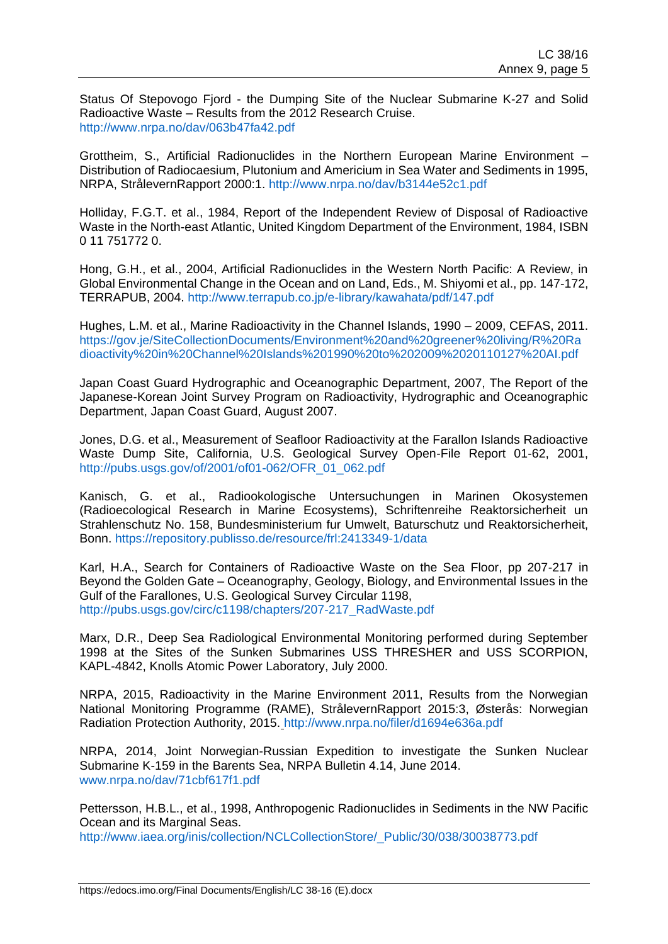Status Of Stepovogo Fjord - the Dumping Site of the Nuclear Submarine K-27 and Solid Radioactive Waste – Results from the 2012 Research Cruise. <http://www.nrpa.no/dav/063b47fa42.pdf>

Grottheim, S., Artificial Radionuclides in the Northern European Marine Environment – Distribution of Radiocaesium, Plutonium and Americium in Sea Water and Sediments in 1995, NRPA, StrålevernRapport 2000:1.<http://www.nrpa.no/dav/b3144e52c1.pdf>

Holliday, F.G.T. et al., 1984, Report of the Independent Review of Disposal of Radioactive Waste in the North-east Atlantic, United Kingdom Department of the Environment, 1984, ISBN 0 11 751772 0.

Hong, G.H., et al., 2004, Artificial Radionuclides in the Western North Pacific: A Review, in Global Environmental Change in the Ocean and on Land, Eds., M. Shiyomi et al., pp. 147-172, TERRAPUB, 2004.<http://www.terrapub.co.jp/e-library/kawahata/pdf/147.pdf>

Hughes, L.M. et al., Marine Radioactivity in the Channel Islands, 1990 – 2009, CEFAS, 2011. [https://gov.je/SiteCollectionDocuments/Environment%20and%20greener%20living/R%20Ra](https://gov.je/SiteCollectionDocuments/Environment%20and%20greener%20living/R%20Radioactivity%20in%20Channel%20Islands%201990%20to%202009%2020110127%20AI.pdf) [dioactivity%20in%20Channel%20Islands%201990%20to%202009%2020110127%20AI.pdf](https://gov.je/SiteCollectionDocuments/Environment%20and%20greener%20living/R%20Radioactivity%20in%20Channel%20Islands%201990%20to%202009%2020110127%20AI.pdf)

Japan Coast Guard Hydrographic and Oceanographic Department, 2007, The Report of the Japanese-Korean Joint Survey Program on Radioactivity, Hydrographic and Oceanographic Department, Japan Coast Guard, August 2007.

Jones, D.G. et al., Measurement of Seafloor Radioactivity at the Farallon Islands Radioactive Waste Dump Site, California, U.S. Geological Survey Open-File Report 01-62, 2001, [http://pubs.usgs.gov/of/2001/of01-062/OFR\\_01\\_062.pdf](http://pubs.usgs.gov/of/2001/of01-062/OFR_01_062.pdf)

Kanisch, G. et al., Radiookologische Untersuchungen in Marinen Okosystemen (Radioecological Research in Marine Ecosystems), Schriftenreihe Reaktorsicherheit un Strahlenschutz No. 158, Bundesministerium fur Umwelt, Baturschutz und Reaktorsicherheit, Bonn.<https://repository.publisso.de/resource/frl:2413349-1/data>

Karl, H.A., Search for Containers of Radioactive Waste on the Sea Floor, pp 207-217 in Beyond the Golden Gate – Oceanography, Geology, Biology, and Environmental Issues in the Gulf of the Farallones, U.S. Geological Survey Circular 1198, [http://pubs.usgs.gov/circ/c1198/chapters/207-217\\_RadWaste.pdf](http://pubs.usgs.gov/circ/c1198/chapters/207-217_RadWaste.pdf)

Marx, D.R., Deep Sea Radiological Environmental Monitoring performed during September 1998 at the Sites of the Sunken Submarines USS THRESHER and USS SCORPION, KAPL-4842, Knolls Atomic Power Laboratory, July 2000.

NRPA, 2015, Radioactivity in the Marine Environment 2011, Results from the Norwegian National Monitoring Programme (RAME), StrålevernRapport 2015:3, Østerås: Norwegian Radiation Protection Authority, 2015. http://www.nrpa.no/filer/d1694e636a.pdf

NRPA, 2014, Joint Norwegian-Russian Expedition to investigate the Sunken Nuclear Submarine K-159 in the Barents Sea, NRPA Bulletin 4.14, June 2014. [www.nrpa.no/dav/71cbf617f1.pdf](http://www.nrpa.no/dav/71cbf617f1.pdf)

Pettersson, H.B.L., et al., 1998, Anthropogenic Radionuclides in Sediments in the NW Pacific Ocean and its Marginal Seas.

[http://www.iaea.org/inis/collection/NCLCollectionStore/\\_Public/30/038/30038773.pdf](http://www.iaea.org/inis/collection/NCLCollectionStore/_Public/30/038/30038773.pdf)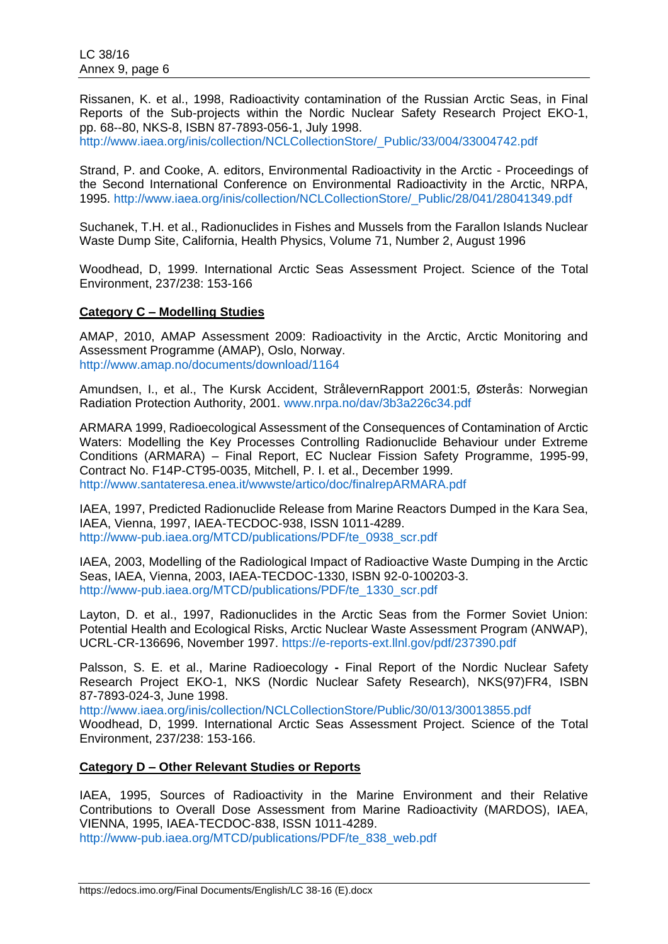Rissanen, K. et al., 1998, Radioactivity contamination of the Russian Arctic Seas, in Final Reports of the Sub-projects within the Nordic Nuclear Safety Research Project EKO-1, pp. 68--80, NKS-8, ISBN 87-7893-056-1, July 1998.

[http://www.iaea.org/inis/collection/NCLCollectionStore/\\_Public/33/004/33004742.pdf](http://www.iaea.org/inis/collection/NCLCollectionStore/_Public/33/004/33004742.pdf)

Strand, P. and Cooke, A. editors, Environmental Radioactivity in the Arctic - Proceedings of the Second International Conference on Environmental Radioactivity in the Arctic, NRPA, 1995. [http://www.iaea.org/inis/collection/NCLCollectionStore/\\_Public/28/041/28041349.pdf](http://www.iaea.org/inis/collection/NCLCollectionStore/_Public/28/041/28041349.pdf)

Suchanek, T.H. et al., Radionuclides in Fishes and Mussels from the Farallon Islands Nuclear Waste Dump Site, California, Health Physics, Volume 71, Number 2, August 1996

Woodhead, D, 1999. International Arctic Seas Assessment Project. Science of the Total Environment, 237/238: 153-166

#### **Category C – Modelling Studies**

AMAP, 2010, AMAP Assessment 2009: Radioactivity in the Arctic, Arctic Monitoring and Assessment Programme (AMAP), Oslo, Norway. <http://www.amap.no/documents/download/1164>

Amundsen, I., et al., The Kursk Accident, StrålevernRapport 2001:5, Østerås: Norwegian Radiation Protection Authority, 2001. [www.nrpa.no/dav/3b3a226c34.pdf](http://www.nrpa.no/dav/3b3a226c34.pdf)

ARMARA 1999, Radioecological Assessment of the Consequences of Contamination of Arctic Waters: Modelling the Key Processes Controlling Radionuclide Behaviour under Extreme Conditions (ARMARA) – Final Report, EC Nuclear Fission Safety Programme, 1995-99, Contract No. F14P-CT95-0035, Mitchell, P. I. et al., December 1999. <http://www.santateresa.enea.it/wwwste/artico/doc/finalrepARMARA.pdf>

IAEA, 1997, Predicted Radionuclide Release from Marine Reactors Dumped in the Kara Sea, IAEA, Vienna, 1997, IAEA-TECDOC-938, ISSN 1011-4289. [http://www-pub.iaea.org/MTCD/publications/PDF/te\\_0938\\_scr.pdf](http://www-pub.iaea.org/MTCD/publications/PDF/te_0938_scr.pdf)

IAEA, 2003, Modelling of the Radiological Impact of Radioactive Waste Dumping in the Arctic Seas, IAEA, Vienna, 2003, IAEA-TECDOC-1330, ISBN 92-0-100203-3. [http://www-pub.iaea.org/MTCD/publications/PDF/te\\_1330\\_scr.pdf](http://www-pub.iaea.org/MTCD/publications/PDF/te_1330_scr.pdf)

Layton, D. et al., 1997, Radionuclides in the Arctic Seas from the Former Soviet Union: Potential Health and Ecological Risks, Arctic Nuclear Waste Assessment Program (ANWAP), UCRL-CR-136696, November 1997.<https://e-reports-ext.llnl.gov/pdf/237390.pdf>

Palsson, S. E. et al., Marine Radioecology **-** Final Report of the Nordic Nuclear Safety Research Project EKO-1, NKS (Nordic Nuclear Safety Research), NKS(97)FR4, ISBN 87-7893-024-3, June 1998.

<http://www.iaea.org/inis/collection/NCLCollectionStore/Public/30/013/30013855.pdf>

Woodhead, D, 1999. International Arctic Seas Assessment Project. Science of the Total Environment, 237/238: 153-166.

## **Category D – Other Relevant Studies or Reports**

IAEA, 1995, Sources of Radioactivity in the Marine Environment and their Relative Contributions to Overall Dose Assessment from Marine Radioactivity (MARDOS), IAEA, VIENNA, 1995, IAEA-TECDOC-838, ISSN 1011-4289.

[http://www-pub.iaea.org/MTCD/publications/PDF/te\\_838\\_web.pdf](http://www-pub.iaea.org/MTCD/publications/PDF/te_838_web.pdf)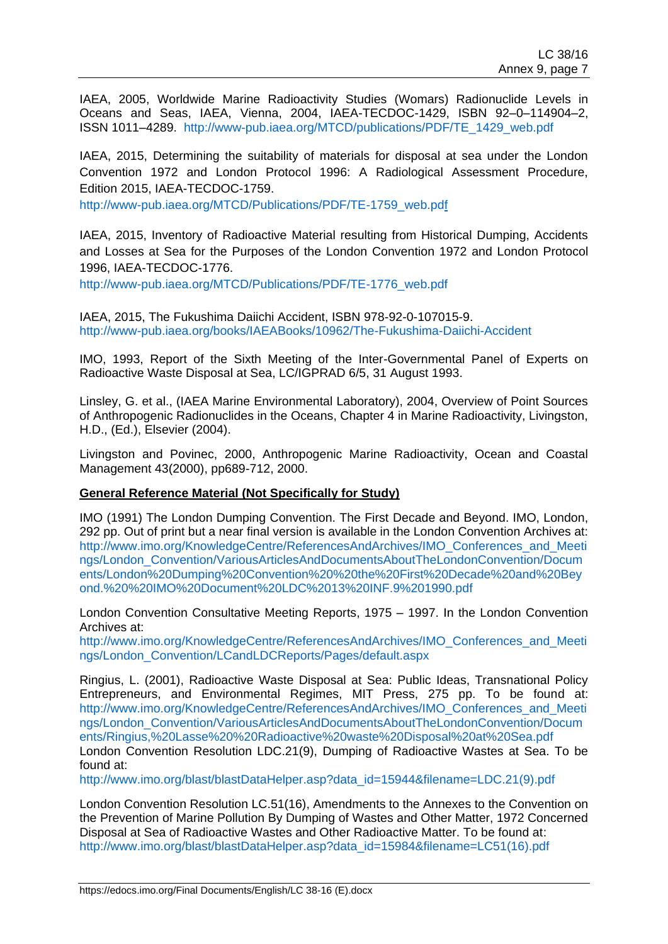IAEA, 2005, Worldwide Marine Radioactivity Studies (Womars) Radionuclide Levels in Oceans and Seas, IAEA, Vienna, 2004, IAEA-TECDOC-1429, ISBN 92–0–114904–2, ISSN 1011–4289. [http://www-pub.iaea.org/MTCD/publications/PDF/TE\\_1429\\_web.pdf](http://www-pub.iaea.org/MTCD/publications/PDF/TE_1429_web.pdf)

IAEA, 2015, Determining the suitability of materials for disposal at sea under the London Convention 1972 and London Protocol 1996: A Radiological Assessment Procedure, Edition 2015, IAEA-TECDOC-1759.

[http://www-pub.iaea.org/MTCD/Publications/PDF/TE-1759\\_web.pdf](http://www-pub.iaea.org/MTCD/Publications/PDF/TE-1759_web.pdf)

IAEA, 2015, Inventory of Radioactive Material resulting from Historical Dumping, Accidents and Losses at Sea for the Purposes of the London Convention 1972 and London Protocol 1996, IAEA-TECDOC-1776.

[http://www-pub.iaea.org/MTCD/Publications/PDF/TE-1776\\_web.pdf](http://www-pub.iaea.org/MTCD/Publications/PDF/TE-1776_web.pdf)

IAEA, 2015, The Fukushima Daiichi Accident, ISBN 978-92-0-107015-9. <http://www-pub.iaea.org/books/IAEABooks/10962/The-Fukushima-Daiichi-Accident>

IMO, 1993, Report of the Sixth Meeting of the Inter-Governmental Panel of Experts on Radioactive Waste Disposal at Sea, LC/IGPRAD 6/5, 31 August 1993.

Linsley, G. et al., (IAEA Marine Environmental Laboratory), 2004, Overview of Point Sources of Anthropogenic Radionuclides in the Oceans, Chapter 4 in Marine Radioactivity, Livingston, H.D., (Ed.), Elsevier (2004).

Livingston and Povinec, 2000, Anthropogenic Marine Radioactivity, Ocean and Coastal Management 43(2000), pp689-712, 2000.

## **General Reference Material (Not Specifically for Study)**

IMO (1991) The London Dumping Convention. The First Decade and Beyond. IMO, London, 292 pp. Out of print but a near final version is available in the London Convention Archives at: [http://www.imo.org/KnowledgeCentre/ReferencesAndArchives/IMO\\_Conferences\\_and\\_Meeti](http://www.imo.org/KnowledgeCentre/ReferencesAndArchives/IMO_Conferences_and_Meetings/London_Convention/VariousArticlesAndDocumentsAboutTheLondonConvention/Documents/London%20Dumping%20Convention%20%20the%20First%20Decade%20and%20Beyond.%20%20IMO%20Document%20LDC%2013%20INF.9%201990.pdf) [ngs/London\\_Convention/VariousArticlesAndDocumentsAboutTheLondonConvention/Docum](http://www.imo.org/KnowledgeCentre/ReferencesAndArchives/IMO_Conferences_and_Meetings/London_Convention/VariousArticlesAndDocumentsAboutTheLondonConvention/Documents/London%20Dumping%20Convention%20%20the%20First%20Decade%20and%20Beyond.%20%20IMO%20Document%20LDC%2013%20INF.9%201990.pdf) [ents/London%20Dumping%20Convention%20%20the%20First%20Decade%20and%20Bey](http://www.imo.org/KnowledgeCentre/ReferencesAndArchives/IMO_Conferences_and_Meetings/London_Convention/VariousArticlesAndDocumentsAboutTheLondonConvention/Documents/London%20Dumping%20Convention%20%20the%20First%20Decade%20and%20Beyond.%20%20IMO%20Document%20LDC%2013%20INF.9%201990.pdf) [ond.%20%20IMO%20Document%20LDC%2013%20INF.9%201990.pdf](http://www.imo.org/KnowledgeCentre/ReferencesAndArchives/IMO_Conferences_and_Meetings/London_Convention/VariousArticlesAndDocumentsAboutTheLondonConvention/Documents/London%20Dumping%20Convention%20%20the%20First%20Decade%20and%20Beyond.%20%20IMO%20Document%20LDC%2013%20INF.9%201990.pdf)

London Convention Consultative Meeting Reports, 1975 – 1997. In the London Convention Archives at:

[http://www.imo.org/KnowledgeCentre/ReferencesAndArchives/IMO\\_Conferences\\_and\\_Meeti](http://www.imo.org/KnowledgeCentre/ReferencesAndArchives/IMO_Conferences_and_Meetings/London_Convention/LCandLDCReports/Pages/default.aspx) [ngs/London\\_Convention/LCandLDCReports/Pages/default.aspx](http://www.imo.org/KnowledgeCentre/ReferencesAndArchives/IMO_Conferences_and_Meetings/London_Convention/LCandLDCReports/Pages/default.aspx)

Ringius, L. (2001), Radioactive Waste Disposal at Sea: Public Ideas, Transnational Policy Entrepreneurs, and Environmental Regimes, MIT Press, 275 pp. To be found at: [http://www.imo.org/KnowledgeCentre/ReferencesAndArchives/IMO\\_Conferences\\_and\\_Meeti](http://www.imo.org/KnowledgeCentre/ReferencesAndArchives/IMO_Conferences_and_Meetings/London_Convention/VariousArticlesAndDocumentsAboutTheLondonConvention/Documents/Ringius,%20Lasse%20%20Radioactive%20waste%20Disposal%20at%20Sea.pdf) [ngs/London\\_Convention/VariousArticlesAndDocumentsAboutTheLondonConvention/Docum](http://www.imo.org/KnowledgeCentre/ReferencesAndArchives/IMO_Conferences_and_Meetings/London_Convention/VariousArticlesAndDocumentsAboutTheLondonConvention/Documents/Ringius,%20Lasse%20%20Radioactive%20waste%20Disposal%20at%20Sea.pdf) [ents/Ringius,%20Lasse%20%20Radioactive%20waste%20Disposal%20at%20Sea.pdf](http://www.imo.org/KnowledgeCentre/ReferencesAndArchives/IMO_Conferences_and_Meetings/London_Convention/VariousArticlesAndDocumentsAboutTheLondonConvention/Documents/Ringius,%20Lasse%20%20Radioactive%20waste%20Disposal%20at%20Sea.pdf) London Convention Resolution LDC.21(9), Dumping of Radioactive Wastes at Sea. To be found at:

[http://www.imo.org/blast/blastDataHelper.asp?data\\_id=15944&filename=LDC.21\(9\).pdf](http://www.imo.org/blast/blastDataHelper.asp?data_id=15944&filename=LDC.21(9).pdf)

London Convention Resolution LC.51(16), Amendments to the Annexes to the Convention on the Prevention of Marine Pollution By Dumping of Wastes and Other Matter, 1972 Concerned Disposal at Sea of Radioactive Wastes and Other Radioactive Matter. To be found at: [http://www.imo.org/blast/blastDataHelper.asp?data\\_id=15984&filename=LC51\(16\).pdf](http://www.imo.org/blast/blastDataHelper.asp?data_id=15984&filename=LC51(16).pdf)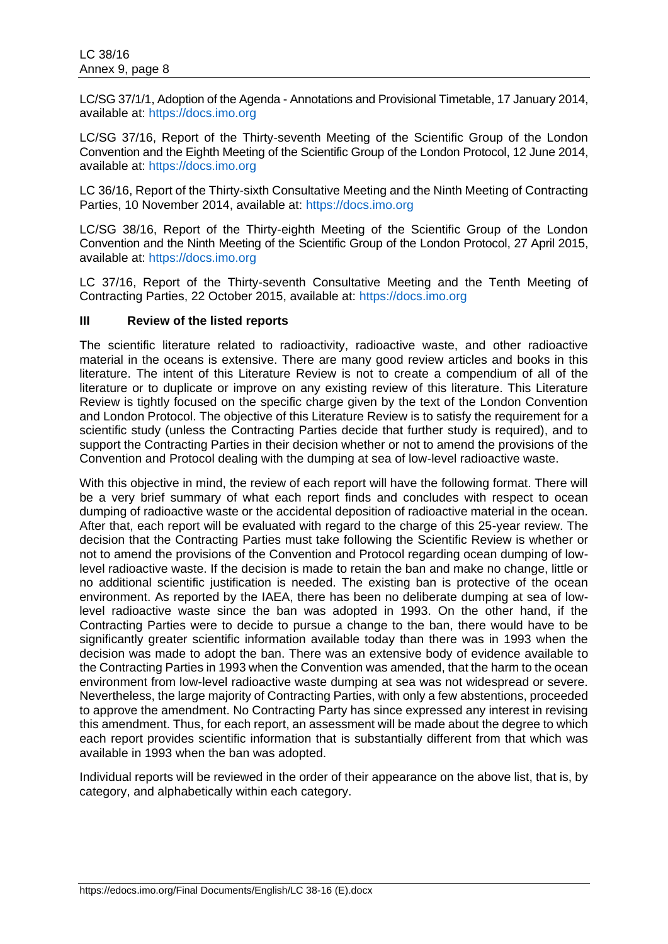LC/SG 37/1/1, Adoption of the Agenda - Annotations and Provisional Timetable, 17 January 2014, available at: [https://docs.imo.org](https://docs.imo.org/)

LC/SG 37/16, Report of the Thirty-seventh Meeting of the Scientific Group of the London Convention and the Eighth Meeting of the Scientific Group of the London Protocol, 12 June 2014, available at: [https://docs.imo.org](https://docs.imo.org/)

LC 36/16, Report of the Thirty-sixth Consultative Meeting and the Ninth Meeting of Contracting Parties, 10 November 2014, available at: [https://docs.imo.org](https://docs.imo.org/)

LC/SG 38/16, Report of the Thirty-eighth Meeting of the Scientific Group of the London Convention and the Ninth Meeting of the Scientific Group of the London Protocol, 27 April 2015, available at: [https://docs.imo.org](https://docs.imo.org/)

LC 37/16, Report of the Thirty-seventh Consultative Meeting and the Tenth Meeting of Contracting Parties, 22 October 2015, available at: [https://docs.imo.org](https://docs.imo.org/) 

#### **III Review of the listed reports**

The scientific literature related to radioactivity, radioactive waste, and other radioactive material in the oceans is extensive. There are many good review articles and books in this literature. The intent of this Literature Review is not to create a compendium of all of the literature or to duplicate or improve on any existing review of this literature. This Literature Review is tightly focused on the specific charge given by the text of the London Convention and London Protocol. The objective of this Literature Review is to satisfy the requirement for a scientific study (unless the Contracting Parties decide that further study is required), and to support the Contracting Parties in their decision whether or not to amend the provisions of the Convention and Protocol dealing with the dumping at sea of low-level radioactive waste.

With this objective in mind, the review of each report will have the following format. There will be a very brief summary of what each report finds and concludes with respect to ocean dumping of radioactive waste or the accidental deposition of radioactive material in the ocean. After that, each report will be evaluated with regard to the charge of this 25-year review. The decision that the Contracting Parties must take following the Scientific Review is whether or not to amend the provisions of the Convention and Protocol regarding ocean dumping of lowlevel radioactive waste. If the decision is made to retain the ban and make no change, little or no additional scientific justification is needed. The existing ban is protective of the ocean environment. As reported by the IAEA, there has been no deliberate dumping at sea of lowlevel radioactive waste since the ban was adopted in 1993. On the other hand, if the Contracting Parties were to decide to pursue a change to the ban, there would have to be significantly greater scientific information available today than there was in 1993 when the decision was made to adopt the ban. There was an extensive body of evidence available to the Contracting Parties in 1993 when the Convention was amended, that the harm to the ocean environment from low-level radioactive waste dumping at sea was not widespread or severe. Nevertheless, the large majority of Contracting Parties, with only a few abstentions, proceeded to approve the amendment. No Contracting Party has since expressed any interest in revising this amendment. Thus, for each report, an assessment will be made about the degree to which each report provides scientific information that is substantially different from that which was available in 1993 when the ban was adopted.

Individual reports will be reviewed in the order of their appearance on the above list, that is, by category, and alphabetically within each category.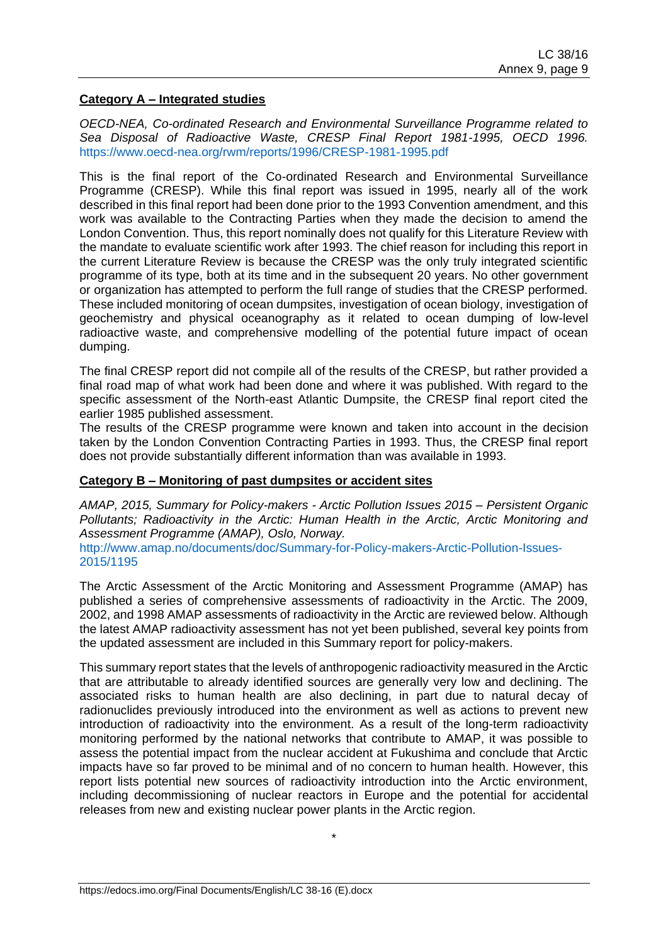### **Category A – Integrated studies**

*OECD-NEA, Co-ordinated Research and Environmental Surveillance Programme related to Sea Disposal of Radioactive Waste, CRESP Final Report 1981-1995, OECD 1996.*  <https://www.oecd-nea.org/rwm/reports/1996/CRESP-1981-1995.pdf>

This is the final report of the Co-ordinated Research and Environmental Surveillance Programme (CRESP). While this final report was issued in 1995, nearly all of the work described in this final report had been done prior to the 1993 Convention amendment, and this work was available to the Contracting Parties when they made the decision to amend the London Convention. Thus, this report nominally does not qualify for this Literature Review with the mandate to evaluate scientific work after 1993. The chief reason for including this report in the current Literature Review is because the CRESP was the only truly integrated scientific programme of its type, both at its time and in the subsequent 20 years. No other government or organization has attempted to perform the full range of studies that the CRESP performed. These included monitoring of ocean dumpsites, investigation of ocean biology, investigation of geochemistry and physical oceanography as it related to ocean dumping of low-level radioactive waste, and comprehensive modelling of the potential future impact of ocean dumping.

The final CRESP report did not compile all of the results of the CRESP, but rather provided a final road map of what work had been done and where it was published. With regard to the specific assessment of the North-east Atlantic Dumpsite, the CRESP final report cited the earlier 1985 published assessment.

The results of the CRESP programme were known and taken into account in the decision taken by the London Convention Contracting Parties in 1993. Thus, the CRESP final report does not provide substantially different information than was available in 1993.

## **Category B – Monitoring of past dumpsites or accident sites**

*AMAP, 2015, Summary for Policy-makers - Arctic Pollution Issues 2015 – Persistent Organic Pollutants; Radioactivity in the Arctic: Human Health in the Arctic, Arctic Monitoring and Assessment Programme (AMAP), Oslo, Norway.*

[http://www.amap.no/documents/doc/Summary-for-Policy-makers-Arctic-Pollution-Issues-](http://www.amap.no/documents/doc/Summary-for-Policy-makers-Arctic-Pollution-Issues-2015/1195)[2015/1195](http://www.amap.no/documents/doc/Summary-for-Policy-makers-Arctic-Pollution-Issues-2015/1195)

The Arctic Assessment of the Arctic Monitoring and Assessment Programme (AMAP) has published a series of comprehensive assessments of radioactivity in the Arctic. The 2009, 2002, and 1998 AMAP assessments of radioactivity in the Arctic are reviewed below. Although the latest AMAP radioactivity assessment has not yet been published, several key points from the updated assessment are included in this Summary report for policy-makers.

This summary report states that the levels of anthropogenic radioactivity measured in the Arctic that are attributable to already identified sources are generally very low and declining. The associated risks to human health are also declining, in part due to natural decay of radionuclides previously introduced into the environment as well as actions to prevent new introduction of radioactivity into the environment. As a result of the long-term radioactivity monitoring performed by the national networks that contribute to AMAP, it was possible to assess the potential impact from the nuclear accident at Fukushima and conclude that Arctic impacts have so far proved to be minimal and of no concern to human health. However, this report lists potential new sources of radioactivity introduction into the Arctic environment, including decommissioning of nuclear reactors in Europe and the potential for accidental releases from new and existing nuclear power plants in the Arctic region.

\*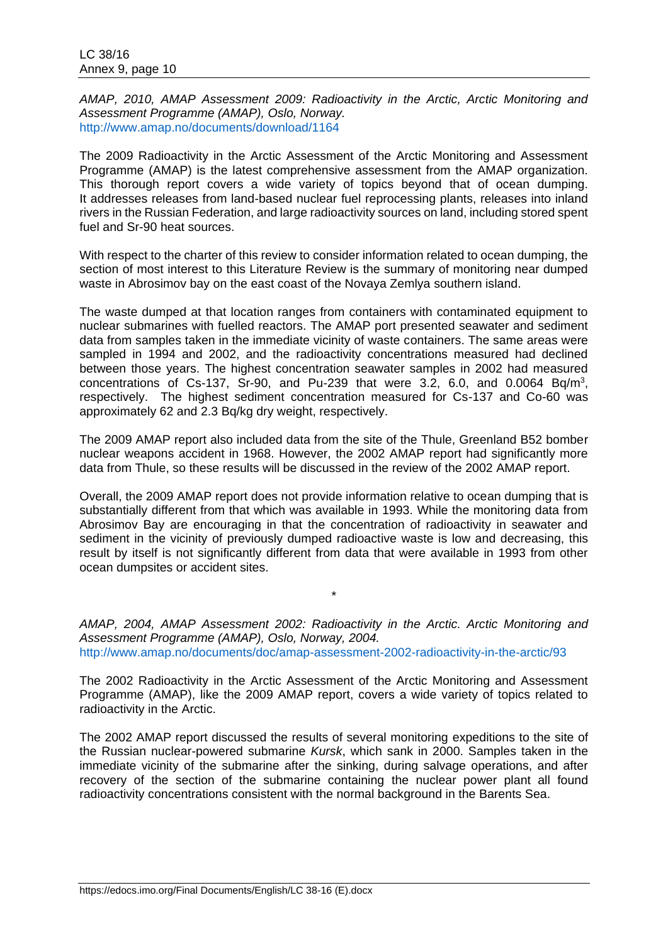*AMAP, 2010, AMAP Assessment 2009: Radioactivity in the Arctic, Arctic Monitoring and Assessment Programme (AMAP), Oslo, Norway.* <http://www.amap.no/documents/download/1164>

The 2009 Radioactivity in the Arctic Assessment of the Arctic Monitoring and Assessment Programme (AMAP) is the latest comprehensive assessment from the AMAP organization. This thorough report covers a wide variety of topics beyond that of ocean dumping. It addresses releases from land-based nuclear fuel reprocessing plants, releases into inland rivers in the Russian Federation, and large radioactivity sources on land, including stored spent fuel and Sr-90 heat sources.

With respect to the charter of this review to consider information related to ocean dumping, the section of most interest to this Literature Review is the summary of monitoring near dumped waste in Abrosimov bay on the east coast of the Novaya Zemlya southern island.

The waste dumped at that location ranges from containers with contaminated equipment to nuclear submarines with fuelled reactors. The AMAP port presented seawater and sediment data from samples taken in the immediate vicinity of waste containers. The same areas were sampled in 1994 and 2002, and the radioactivity concentrations measured had declined between those years. The highest concentration seawater samples in 2002 had measured concentrations of Cs-137, Sr-90, and Pu-239 that were 3.2, 6.0, and  $0.0064$  Bq/m<sup>3</sup>, respectively. The highest sediment concentration measured for Cs-137 and Co-60 was approximately 62 and 2.3 Bq/kg dry weight, respectively.

The 2009 AMAP report also included data from the site of the Thule, Greenland B52 bomber nuclear weapons accident in 1968. However, the 2002 AMAP report had significantly more data from Thule, so these results will be discussed in the review of the 2002 AMAP report.

Overall, the 2009 AMAP report does not provide information relative to ocean dumping that is substantially different from that which was available in 1993. While the monitoring data from Abrosimov Bay are encouraging in that the concentration of radioactivity in seawater and sediment in the vicinity of previously dumped radioactive waste is low and decreasing, this result by itself is not significantly different from data that were available in 1993 from other ocean dumpsites or accident sites.

*AMAP, 2004, AMAP Assessment 2002: Radioactivity in the Arctic. Arctic Monitoring and Assessment Programme (AMAP), Oslo, Norway, 2004.* <http://www.amap.no/documents/doc/amap-assessment-2002-radioactivity-in-the-arctic/93>

\*

The 2002 Radioactivity in the Arctic Assessment of the Arctic Monitoring and Assessment Programme (AMAP), like the 2009 AMAP report, covers a wide variety of topics related to radioactivity in the Arctic.

The 2002 AMAP report discussed the results of several monitoring expeditions to the site of the Russian nuclear-powered submarine *Kursk*, which sank in 2000. Samples taken in the immediate vicinity of the submarine after the sinking, during salvage operations, and after recovery of the section of the submarine containing the nuclear power plant all found radioactivity concentrations consistent with the normal background in the Barents Sea.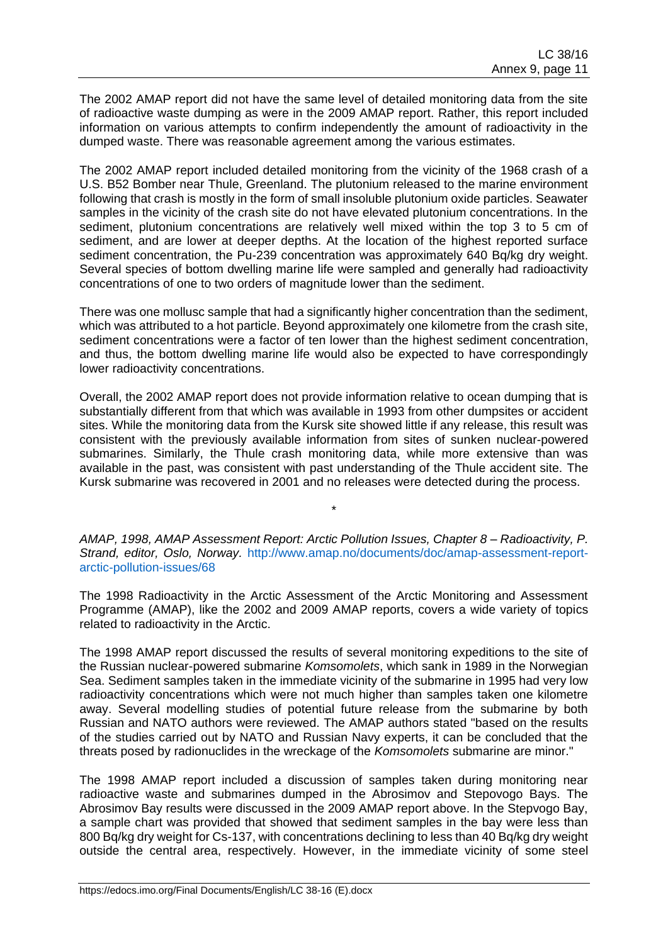The 2002 AMAP report did not have the same level of detailed monitoring data from the site of radioactive waste dumping as were in the 2009 AMAP report. Rather, this report included information on various attempts to confirm independently the amount of radioactivity in the dumped waste. There was reasonable agreement among the various estimates.

The 2002 AMAP report included detailed monitoring from the vicinity of the 1968 crash of a U.S. B52 Bomber near Thule, Greenland. The plutonium released to the marine environment following that crash is mostly in the form of small insoluble plutonium oxide particles. Seawater samples in the vicinity of the crash site do not have elevated plutonium concentrations. In the sediment, plutonium concentrations are relatively well mixed within the top 3 to 5 cm of sediment, and are lower at deeper depths. At the location of the highest reported surface sediment concentration, the Pu-239 concentration was approximately 640 Bq/kg dry weight. Several species of bottom dwelling marine life were sampled and generally had radioactivity concentrations of one to two orders of magnitude lower than the sediment.

There was one mollusc sample that had a significantly higher concentration than the sediment, which was attributed to a hot particle. Beyond approximately one kilometre from the crash site, sediment concentrations were a factor of ten lower than the highest sediment concentration, and thus, the bottom dwelling marine life would also be expected to have correspondingly lower radioactivity concentrations.

Overall, the 2002 AMAP report does not provide information relative to ocean dumping that is substantially different from that which was available in 1993 from other dumpsites or accident sites. While the monitoring data from the Kursk site showed little if any release, this result was consistent with the previously available information from sites of sunken nuclear-powered submarines. Similarly, the Thule crash monitoring data, while more extensive than was available in the past, was consistent with past understanding of the Thule accident site. The Kursk submarine was recovered in 2001 and no releases were detected during the process.

*AMAP, 1998, AMAP Assessment Report: Arctic Pollution Issues, Chapter 8 – Radioactivity, P. Strand, editor, Oslo, Norway.* [http://www.amap.no/documents/doc/amap-assessment-report](http://www.amap.no/documents/doc/amap-assessment-report-arctic-pollution-issues/68)[arctic-pollution-issues/68](http://www.amap.no/documents/doc/amap-assessment-report-arctic-pollution-issues/68)

\*

The 1998 Radioactivity in the Arctic Assessment of the Arctic Monitoring and Assessment Programme (AMAP), like the 2002 and 2009 AMAP reports, covers a wide variety of topics related to radioactivity in the Arctic.

The 1998 AMAP report discussed the results of several monitoring expeditions to the site of the Russian nuclear-powered submarine *Komsomolets*, which sank in 1989 in the Norwegian Sea. Sediment samples taken in the immediate vicinity of the submarine in 1995 had very low radioactivity concentrations which were not much higher than samples taken one kilometre away. Several modelling studies of potential future release from the submarine by both Russian and NATO authors were reviewed. The AMAP authors stated "based on the results of the studies carried out by NATO and Russian Navy experts, it can be concluded that the threats posed by radionuclides in the wreckage of the *Komsomolets* submarine are minor."

The 1998 AMAP report included a discussion of samples taken during monitoring near radioactive waste and submarines dumped in the Abrosimov and Stepovogo Bays. The Abrosimov Bay results were discussed in the 2009 AMAP report above. In the Stepvogo Bay, a sample chart was provided that showed that sediment samples in the bay were less than 800 Bq/kg dry weight for Cs-137, with concentrations declining to less than 40 Bq/kg dry weight outside the central area, respectively. However, in the immediate vicinity of some steel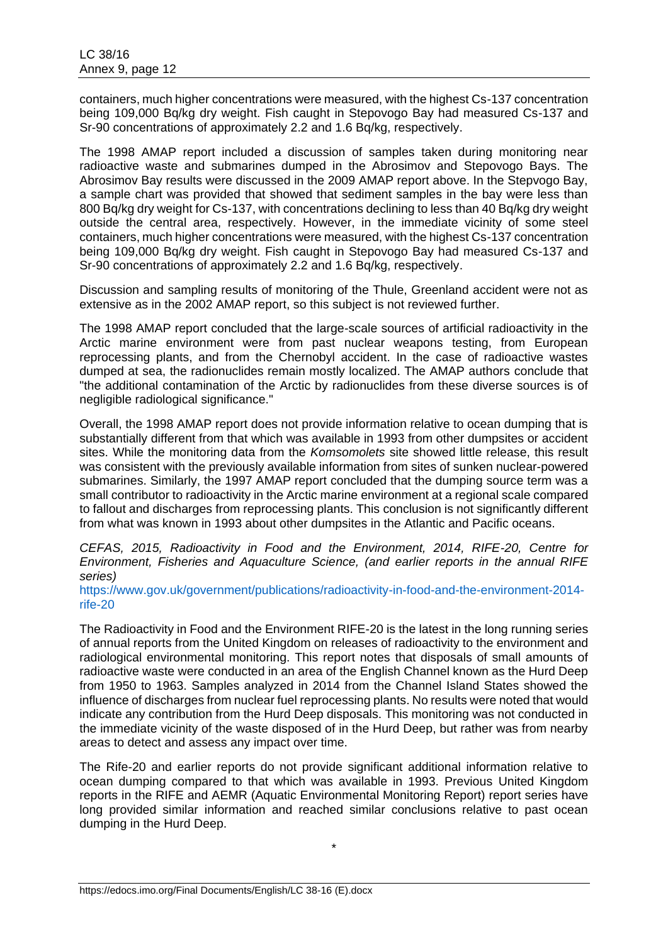containers, much higher concentrations were measured, with the highest Cs-137 concentration being 109,000 Bq/kg dry weight. Fish caught in Stepovogo Bay had measured Cs-137 and Sr-90 concentrations of approximately 2.2 and 1.6 Bq/kg, respectively.

The 1998 AMAP report included a discussion of samples taken during monitoring near radioactive waste and submarines dumped in the Abrosimov and Stepovogo Bays. The Abrosimov Bay results were discussed in the 2009 AMAP report above. In the Stepvogo Bay, a sample chart was provided that showed that sediment samples in the bay were less than 800 Bq/kg dry weight for Cs-137, with concentrations declining to less than 40 Bq/kg dry weight outside the central area, respectively. However, in the immediate vicinity of some steel containers, much higher concentrations were measured, with the highest Cs-137 concentration being 109,000 Bq/kg dry weight. Fish caught in Stepovogo Bay had measured Cs-137 and Sr-90 concentrations of approximately 2.2 and 1.6 Bq/kg, respectively.

Discussion and sampling results of monitoring of the Thule, Greenland accident were not as extensive as in the 2002 AMAP report, so this subject is not reviewed further.

The 1998 AMAP report concluded that the large-scale sources of artificial radioactivity in the Arctic marine environment were from past nuclear weapons testing, from European reprocessing plants, and from the Chernobyl accident. In the case of radioactive wastes dumped at sea, the radionuclides remain mostly localized. The AMAP authors conclude that "the additional contamination of the Arctic by radionuclides from these diverse sources is of negligible radiological significance."

Overall, the 1998 AMAP report does not provide information relative to ocean dumping that is substantially different from that which was available in 1993 from other dumpsites or accident sites. While the monitoring data from the *Komsomolets* site showed little release, this result was consistent with the previously available information from sites of sunken nuclear-powered submarines. Similarly, the 1997 AMAP report concluded that the dumping source term was a small contributor to radioactivity in the Arctic marine environment at a regional scale compared to fallout and discharges from reprocessing plants. This conclusion is not significantly different from what was known in 1993 about other dumpsites in the Atlantic and Pacific oceans.

*CEFAS, 2015, Radioactivity in Food and the Environment, 2014, RIFE-20, Centre for Environment, Fisheries and Aquaculture Science, (and earlier reports in the annual RIFE series)* 

[https://www.gov.uk/government/publications/radioactivity-in-food-and-the-environment-2014](https://www.gov.uk/government/publications/radioactivity-in-food-and-the-environment-2014-rife-20) [rife-20](https://www.gov.uk/government/publications/radioactivity-in-food-and-the-environment-2014-rife-20)

The Radioactivity in Food and the Environment RIFE-20 is the latest in the long running series of annual reports from the United Kingdom on releases of radioactivity to the environment and radiological environmental monitoring. This report notes that disposals of small amounts of radioactive waste were conducted in an area of the English Channel known as the Hurd Deep from 1950 to 1963. Samples analyzed in 2014 from the Channel Island States showed the influence of discharges from nuclear fuel reprocessing plants. No results were noted that would indicate any contribution from the Hurd Deep disposals. This monitoring was not conducted in the immediate vicinity of the waste disposed of in the Hurd Deep, but rather was from nearby areas to detect and assess any impact over time.

The Rife-20 and earlier reports do not provide significant additional information relative to ocean dumping compared to that which was available in 1993. Previous United Kingdom reports in the RIFE and AEMR (Aquatic Environmental Monitoring Report) report series have long provided similar information and reached similar conclusions relative to past ocean dumping in the Hurd Deep.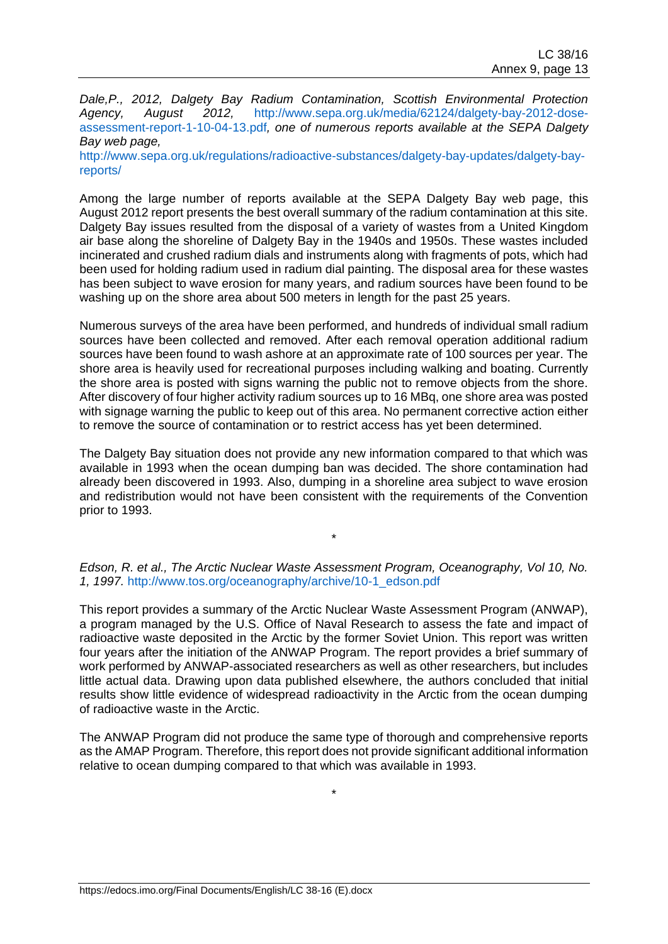*Dale,P., 2012, Dalgety Bay Radium Contamination, Scottish Environmental Protection Agency, August 2012,* [http://www.sepa.org.uk/media/62124/dalgety-bay-2012-dose](http://www.sepa.org.uk/media/62124/dalgety-bay-2012-dose-assessment-report-1-10-04-13.pdf)[assessment-report-1-10-04-13.pdf](http://www.sepa.org.uk/media/62124/dalgety-bay-2012-dose-assessment-report-1-10-04-13.pdf)*, one of numerous reports available at the SEPA Dalgety Bay web page,* 

[http://www.sepa.org.uk/regulations/radioactive-substances/dalgety-bay-updates/dalgety-bay](http://www.sepa.org.uk/regulations/radioactive-substances/dalgety-bay-updates/dalgety-bay-reports/)[reports/](http://www.sepa.org.uk/regulations/radioactive-substances/dalgety-bay-updates/dalgety-bay-reports/)

Among the large number of reports available at the SEPA Dalgety Bay web page, this August 2012 report presents the best overall summary of the radium contamination at this site. Dalgety Bay issues resulted from the disposal of a variety of wastes from a United Kingdom air base along the shoreline of Dalgety Bay in the 1940s and 1950s. These wastes included incinerated and crushed radium dials and instruments along with fragments of pots, which had been used for holding radium used in radium dial painting. The disposal area for these wastes has been subject to wave erosion for many years, and radium sources have been found to be washing up on the shore area about 500 meters in length for the past 25 years.

Numerous surveys of the area have been performed, and hundreds of individual small radium sources have been collected and removed. After each removal operation additional radium sources have been found to wash ashore at an approximate rate of 100 sources per year. The shore area is heavily used for recreational purposes including walking and boating. Currently the shore area is posted with signs warning the public not to remove objects from the shore. After discovery of four higher activity radium sources up to 16 MBq, one shore area was posted with signage warning the public to keep out of this area. No permanent corrective action either to remove the source of contamination or to restrict access has yet been determined.

The Dalgety Bay situation does not provide any new information compared to that which was available in 1993 when the ocean dumping ban was decided. The shore contamination had already been discovered in 1993. Also, dumping in a shoreline area subject to wave erosion and redistribution would not have been consistent with the requirements of the Convention prior to 1993.

#### *Edson, R. et al., The Arctic Nuclear Waste Assessment Program, Oceanography, Vol 10, No. 1, 1997.* [http://www.tos.org/oceanography/archive/10-1\\_edson.pdf](http://www.tos.org/oceanography/archive/10-1_edson.pdf)

\*

This report provides a summary of the Arctic Nuclear Waste Assessment Program (ANWAP), a program managed by the U.S. Office of Naval Research to assess the fate and impact of radioactive waste deposited in the Arctic by the former Soviet Union. This report was written four years after the initiation of the ANWAP Program. The report provides a brief summary of work performed by ANWAP-associated researchers as well as other researchers, but includes little actual data. Drawing upon data published elsewhere, the authors concluded that initial results show little evidence of widespread radioactivity in the Arctic from the ocean dumping of radioactive waste in the Arctic.

The ANWAP Program did not produce the same type of thorough and comprehensive reports as the AMAP Program. Therefore, this report does not provide significant additional information relative to ocean dumping compared to that which was available in 1993.

\*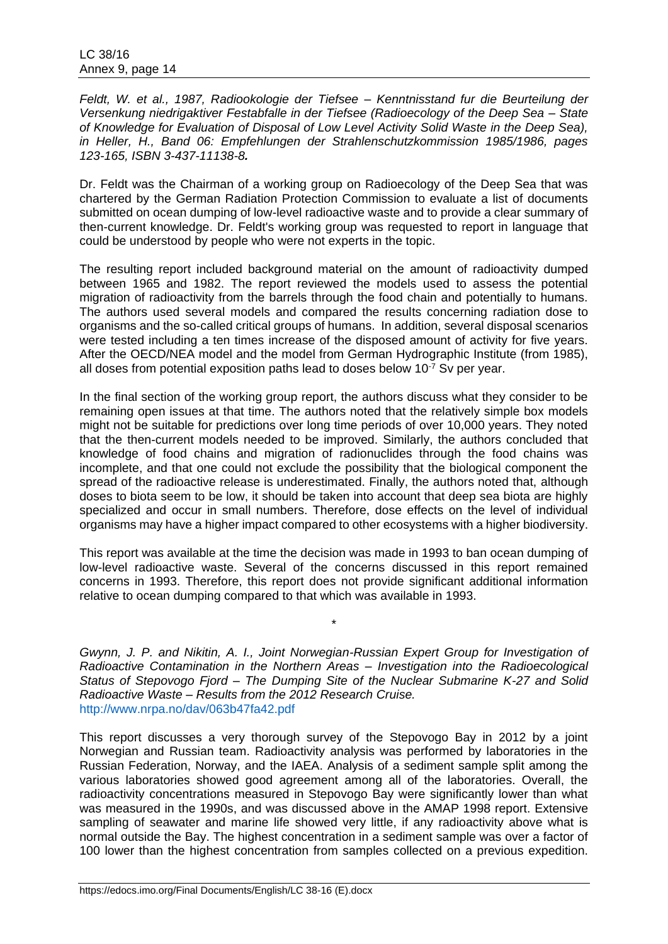*Feldt, W. et al., 1987, Radiookologie der Tiefsee – Kenntnisstand fur die Beurteilung der Versenkung niedrigaktiver Festabfalle in der Tiefsee (Radioecology of the Deep Sea – State of Knowledge for Evaluation of Disposal of Low Level Activity Solid Waste in the Deep Sea), in Heller, H., Band 06: Empfehlungen der Strahlenschutzkommission 1985/1986, pages 123-165, ISBN 3-437-11138-8.*

Dr. Feldt was the Chairman of a working group on Radioecology of the Deep Sea that was chartered by the German Radiation Protection Commission to evaluate a list of documents submitted on ocean dumping of low-level radioactive waste and to provide a clear summary of then-current knowledge. Dr. Feldt's working group was requested to report in language that could be understood by people who were not experts in the topic.

The resulting report included background material on the amount of radioactivity dumped between 1965 and 1982. The report reviewed the models used to assess the potential migration of radioactivity from the barrels through the food chain and potentially to humans. The authors used several models and compared the results concerning radiation dose to organisms and the so-called critical groups of humans. In addition, several disposal scenarios were tested including a ten times increase of the disposed amount of activity for five years. After the OECD/NEA model and the model from German Hydrographic Institute (from 1985), all doses from potential exposition paths lead to doses below  $10^{-7}$  Sv per year.

In the final section of the working group report, the authors discuss what they consider to be remaining open issues at that time. The authors noted that the relatively simple box models might not be suitable for predictions over long time periods of over 10,000 years. They noted that the then-current models needed to be improved. Similarly, the authors concluded that knowledge of food chains and migration of radionuclides through the food chains was incomplete, and that one could not exclude the possibility that the biological component the spread of the radioactive release is underestimated. Finally, the authors noted that, although doses to biota seem to be low, it should be taken into account that deep sea biota are highly specialized and occur in small numbers. Therefore, dose effects on the level of individual organisms may have a higher impact compared to other ecosystems with a higher biodiversity.

This report was available at the time the decision was made in 1993 to ban ocean dumping of low-level radioactive waste. Several of the concerns discussed in this report remained concerns in 1993. Therefore, this report does not provide significant additional information relative to ocean dumping compared to that which was available in 1993.

\*

*Gwynn, J. P. and Nikitin, A. I., Joint Norwegian-Russian Expert Group for Investigation of Radioactive Contamination in the Northern Areas – Investigation into the Radioecological Status of Stepovogo Fjord – The Dumping Site of the Nuclear Submarine K-27 and Solid Radioactive Waste – Results from the 2012 Research Cruise.* <http://www.nrpa.no/dav/063b47fa42.pdf>

This report discusses a very thorough survey of the Stepovogo Bay in 2012 by a joint Norwegian and Russian team. Radioactivity analysis was performed by laboratories in the Russian Federation, Norway, and the IAEA. Analysis of a sediment sample split among the various laboratories showed good agreement among all of the laboratories. Overall, the radioactivity concentrations measured in Stepovogo Bay were significantly lower than what was measured in the 1990s, and was discussed above in the AMAP 1998 report. Extensive sampling of seawater and marine life showed very little, if any radioactivity above what is normal outside the Bay. The highest concentration in a sediment sample was over a factor of 100 lower than the highest concentration from samples collected on a previous expedition.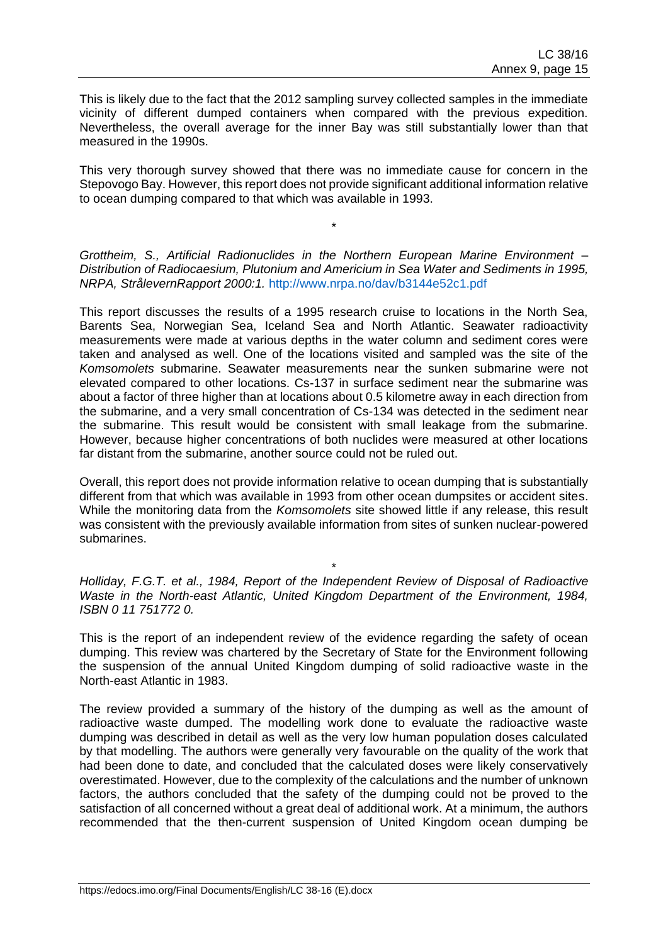This is likely due to the fact that the 2012 sampling survey collected samples in the immediate vicinity of different dumped containers when compared with the previous expedition. Nevertheless, the overall average for the inner Bay was still substantially lower than that measured in the 1990s.

This very thorough survey showed that there was no immediate cause for concern in the Stepovogo Bay. However, this report does not provide significant additional information relative to ocean dumping compared to that which was available in 1993.

*Grottheim, S., Artificial Radionuclides in the Northern European Marine Environment – Distribution of Radiocaesium, Plutonium and Americium in Sea Water and Sediments in 1995, NRPA, StrålevernRapport 2000:1.* <http://www.nrpa.no/dav/b3144e52c1.pdf>

\*

This report discusses the results of a 1995 research cruise to locations in the North Sea, Barents Sea, Norwegian Sea, Iceland Sea and North Atlantic. Seawater radioactivity measurements were made at various depths in the water column and sediment cores were taken and analysed as well. One of the locations visited and sampled was the site of the *Komsomolets* submarine. Seawater measurements near the sunken submarine were not elevated compared to other locations. Cs-137 in surface sediment near the submarine was about a factor of three higher than at locations about 0.5 kilometre away in each direction from the submarine, and a very small concentration of Cs-134 was detected in the sediment near the submarine. This result would be consistent with small leakage from the submarine. However, because higher concentrations of both nuclides were measured at other locations far distant from the submarine, another source could not be ruled out.

Overall, this report does not provide information relative to ocean dumping that is substantially different from that which was available in 1993 from other ocean dumpsites or accident sites. While the monitoring data from the *Komsomolets* site showed little if any release, this result was consistent with the previously available information from sites of sunken nuclear-powered submarines.

*Holliday, F.G.T. et al., 1984, Report of the Independent Review of Disposal of Radioactive Waste in the North-east Atlantic, United Kingdom Department of the Environment, 1984, ISBN 0 11 751772 0.* 

\*

This is the report of an independent review of the evidence regarding the safety of ocean dumping. This review was chartered by the Secretary of State for the Environment following the suspension of the annual United Kingdom dumping of solid radioactive waste in the North-east Atlantic in 1983.

The review provided a summary of the history of the dumping as well as the amount of radioactive waste dumped. The modelling work done to evaluate the radioactive waste dumping was described in detail as well as the very low human population doses calculated by that modelling. The authors were generally very favourable on the quality of the work that had been done to date, and concluded that the calculated doses were likely conservatively overestimated. However, due to the complexity of the calculations and the number of unknown factors, the authors concluded that the safety of the dumping could not be proved to the satisfaction of all concerned without a great deal of additional work. At a minimum, the authors recommended that the then-current suspension of United Kingdom ocean dumping be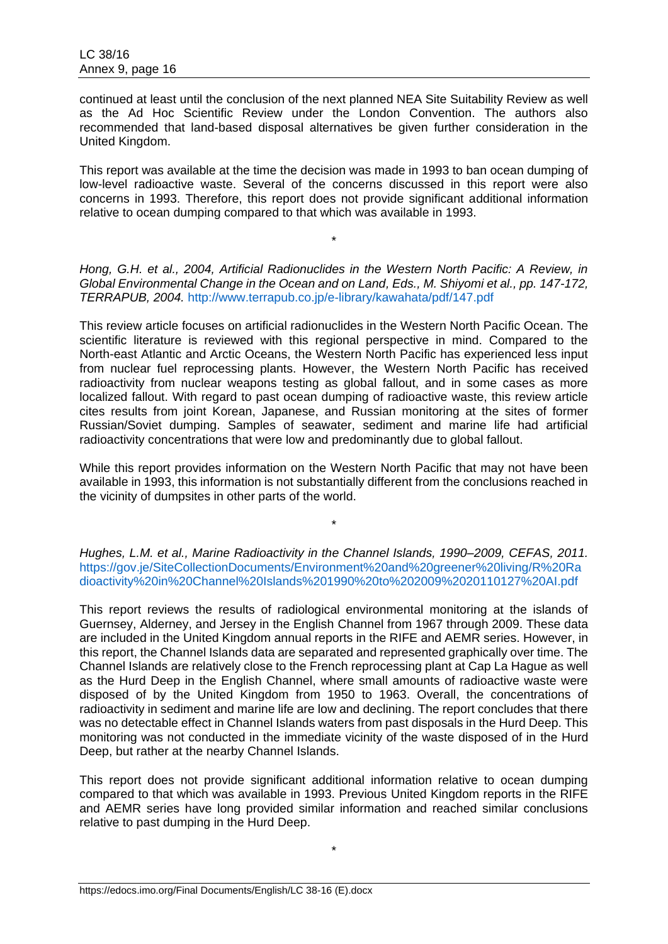continued at least until the conclusion of the next planned NEA Site Suitability Review as well as the Ad Hoc Scientific Review under the London Convention. The authors also recommended that land-based disposal alternatives be given further consideration in the United Kingdom.

This report was available at the time the decision was made in 1993 to ban ocean dumping of low-level radioactive waste. Several of the concerns discussed in this report were also concerns in 1993. Therefore, this report does not provide significant additional information relative to ocean dumping compared to that which was available in 1993.

*Hong, G.H. et al., 2004, Artificial Radionuclides in the Western North Pacific: A Review, in Global Environmental Change in the Ocean and on Land, Eds., M. Shiyomi et al., pp. 147-172, TERRAPUB, 2004.* <http://www.terrapub.co.jp/e-library/kawahata/pdf/147.pdf>

\*

This review article focuses on artificial radionuclides in the Western North Pacific Ocean. The scientific literature is reviewed with this regional perspective in mind. Compared to the North-east Atlantic and Arctic Oceans, the Western North Pacific has experienced less input from nuclear fuel reprocessing plants. However, the Western North Pacific has received radioactivity from nuclear weapons testing as global fallout, and in some cases as more localized fallout. With regard to past ocean dumping of radioactive waste, this review article cites results from joint Korean, Japanese, and Russian monitoring at the sites of former Russian/Soviet dumping. Samples of seawater, sediment and marine life had artificial radioactivity concentrations that were low and predominantly due to global fallout.

While this report provides information on the Western North Pacific that may not have been available in 1993, this information is not substantially different from the conclusions reached in the vicinity of dumpsites in other parts of the world.

*Hughes, L.M. et al., Marine Radioactivity in the Channel Islands, 1990–2009, CEFAS, 2011.*  [https://gov.je/SiteCollectionDocuments/Environment%20and%20greener%20living/R%20Ra](https://gov.je/SiteCollectionDocuments/Environment%20and%20greener%20living/R%20Radioactivity%20in%20Channel%20Islands%201990%20to%202009%2020110127%20AI.pdf) [dioactivity%20in%20Channel%20Islands%201990%20to%202009%2020110127%20AI.pdf](https://gov.je/SiteCollectionDocuments/Environment%20and%20greener%20living/R%20Radioactivity%20in%20Channel%20Islands%201990%20to%202009%2020110127%20AI.pdf)

\*

This report reviews the results of radiological environmental monitoring at the islands of Guernsey, Alderney, and Jersey in the English Channel from 1967 through 2009. These data are included in the United Kingdom annual reports in the RIFE and AEMR series. However, in this report, the Channel Islands data are separated and represented graphically over time. The Channel Islands are relatively close to the French reprocessing plant at Cap La Hague as well as the Hurd Deep in the English Channel, where small amounts of radioactive waste were disposed of by the United Kingdom from 1950 to 1963. Overall, the concentrations of radioactivity in sediment and marine life are low and declining. The report concludes that there was no detectable effect in Channel Islands waters from past disposals in the Hurd Deep. This monitoring was not conducted in the immediate vicinity of the waste disposed of in the Hurd Deep, but rather at the nearby Channel Islands.

This report does not provide significant additional information relative to ocean dumping compared to that which was available in 1993. Previous United Kingdom reports in the RIFE and AEMR series have long provided similar information and reached similar conclusions relative to past dumping in the Hurd Deep.

\*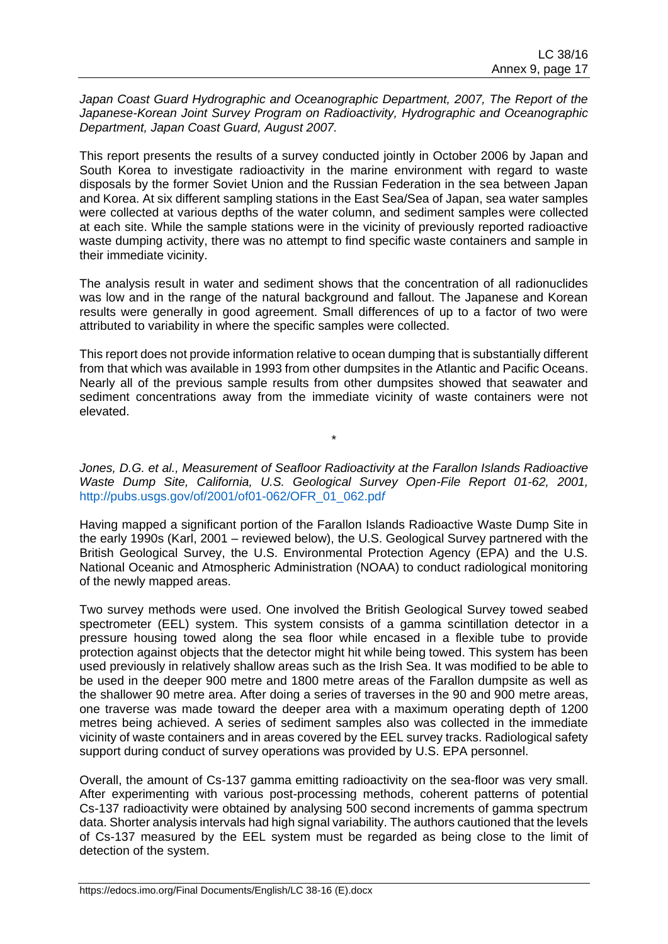Japan Coast Guard Hydrographic and Oceanographic Department, 2007, The Report of the *Japanese-Korean Joint Survey Program on Radioactivity, Hydrographic and Oceanographic Department, Japan Coast Guard, August 2007.*

This report presents the results of a survey conducted jointly in October 2006 by Japan and South Korea to investigate radioactivity in the marine environment with regard to waste disposals by the former Soviet Union and the Russian Federation in the sea between Japan and Korea. At six different sampling stations in the East Sea/Sea of Japan, sea water samples were collected at various depths of the water column, and sediment samples were collected at each site. While the sample stations were in the vicinity of previously reported radioactive waste dumping activity, there was no attempt to find specific waste containers and sample in their immediate vicinity.

The analysis result in water and sediment shows that the concentration of all radionuclides was low and in the range of the natural background and fallout. The Japanese and Korean results were generally in good agreement. Small differences of up to a factor of two were attributed to variability in where the specific samples were collected.

This report does not provide information relative to ocean dumping that is substantially different from that which was available in 1993 from other dumpsites in the Atlantic and Pacific Oceans. Nearly all of the previous sample results from other dumpsites showed that seawater and sediment concentrations away from the immediate vicinity of waste containers were not elevated.

*Jones, D.G. et al., Measurement of Seafloor Radioactivity at the Farallon Islands Radioactive Waste Dump Site, California, U.S. Geological Survey Open-File Report 01-62, 2001,*  [http://pubs.usgs.gov/of/2001/of01-062/OFR\\_01\\_062.pd](http://pubs.usgs.gov/of/2001/of01-062/OFR_01_062.pdf)*f*

\*

Having mapped a significant portion of the Farallon Islands Radioactive Waste Dump Site in the early 1990s (Karl, 2001 – reviewed below), the U.S. Geological Survey partnered with the British Geological Survey, the U.S. Environmental Protection Agency (EPA) and the U.S. National Oceanic and Atmospheric Administration (NOAA) to conduct radiological monitoring of the newly mapped areas.

Two survey methods were used. One involved the British Geological Survey towed seabed spectrometer (EEL) system. This system consists of a gamma scintillation detector in a pressure housing towed along the sea floor while encased in a flexible tube to provide protection against objects that the detector might hit while being towed. This system has been used previously in relatively shallow areas such as the Irish Sea. It was modified to be able to be used in the deeper 900 metre and 1800 metre areas of the Farallon dumpsite as well as the shallower 90 metre area. After doing a series of traverses in the 90 and 900 metre areas, one traverse was made toward the deeper area with a maximum operating depth of 1200 metres being achieved. A series of sediment samples also was collected in the immediate vicinity of waste containers and in areas covered by the EEL survey tracks. Radiological safety support during conduct of survey operations was provided by U.S. EPA personnel.

Overall, the amount of Cs-137 gamma emitting radioactivity on the sea-floor was very small. After experimenting with various post-processing methods, coherent patterns of potential Cs-137 radioactivity were obtained by analysing 500 second increments of gamma spectrum data. Shorter analysis intervals had high signal variability. The authors cautioned that the levels of Cs-137 measured by the EEL system must be regarded as being close to the limit of detection of the system.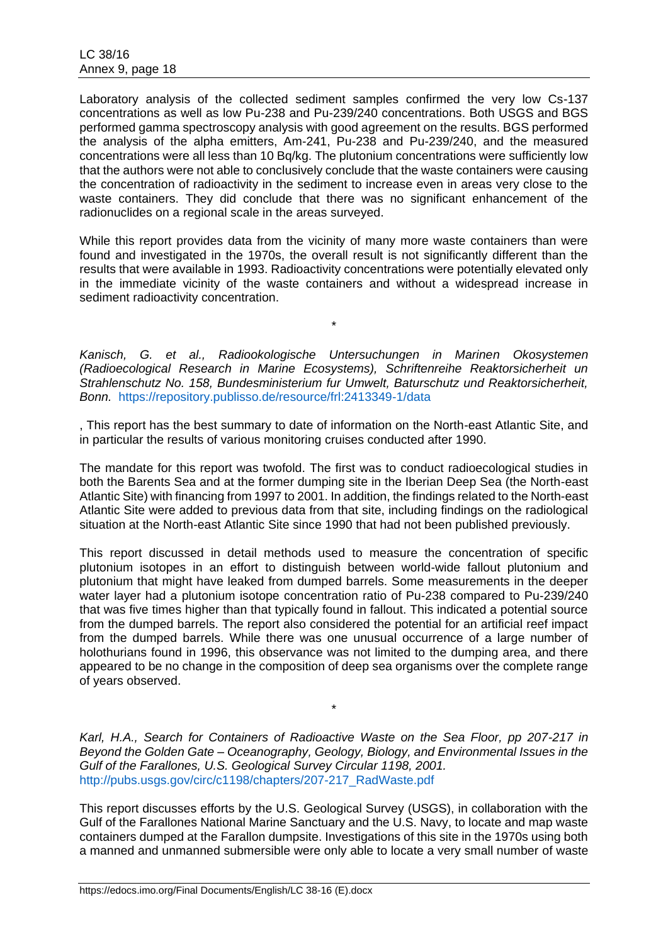Laboratory analysis of the collected sediment samples confirmed the very low Cs-137 concentrations as well as low Pu-238 and Pu-239/240 concentrations. Both USGS and BGS performed gamma spectroscopy analysis with good agreement on the results. BGS performed the analysis of the alpha emitters, Am-241, Pu-238 and Pu-239/240, and the measured concentrations were all less than 10 Bq/kg. The plutonium concentrations were sufficiently low that the authors were not able to conclusively conclude that the waste containers were causing the concentration of radioactivity in the sediment to increase even in areas very close to the waste containers. They did conclude that there was no significant enhancement of the radionuclides on a regional scale in the areas surveyed.

While this report provides data from the vicinity of many more waste containers than were found and investigated in the 1970s, the overall result is not significantly different than the results that were available in 1993. Radioactivity concentrations were potentially elevated only in the immediate vicinity of the waste containers and without a widespread increase in sediment radioactivity concentration.

\*

*Kanisch, G. et al., Radiookologische Untersuchungen in Marinen Okosystemen (Radioecological Research in Marine Ecosystems), Schriftenreihe Reaktorsicherheit un Strahlenschutz No. 158, Bundesministerium fur Umwelt, Baturschutz und Reaktorsicherheit, Bonn.* <https://repository.publisso.de/resource/frl:2413349-1/data>

, This report has the best summary to date of information on the North-east Atlantic Site, and in particular the results of various monitoring cruises conducted after 1990.

The mandate for this report was twofold. The first was to conduct radioecological studies in both the Barents Sea and at the former dumping site in the Iberian Deep Sea (the North-east Atlantic Site) with financing from 1997 to 2001. In addition, the findings related to the North-east Atlantic Site were added to previous data from that site, including findings on the radiological situation at the North-east Atlantic Site since 1990 that had not been published previously.

This report discussed in detail methods used to measure the concentration of specific plutonium isotopes in an effort to distinguish between world-wide fallout plutonium and plutonium that might have leaked from dumped barrels. Some measurements in the deeper water layer had a plutonium isotope concentration ratio of Pu-238 compared to Pu-239/240 that was five times higher than that typically found in fallout. This indicated a potential source from the dumped barrels. The report also considered the potential for an artificial reef impact from the dumped barrels. While there was one unusual occurrence of a large number of holothurians found in 1996, this observance was not limited to the dumping area, and there appeared to be no change in the composition of deep sea organisms over the complete range of years observed.

*Karl, H.A., Search for Containers of Radioactive Waste on the Sea Floor, pp 207-217 in Beyond the Golden Gate – Oceanography, Geology, Biology, and Environmental Issues in the Gulf of the Farallones, U.S. Geological Survey Circular 1198, 2001.* [http://pubs.usgs.gov/circ/c1198/chapters/207-217\\_RadWaste.pdf](http://pubs.usgs.gov/circ/c1198/chapters/207-217_RadWaste.pdf)

\*

This report discusses efforts by the U.S. Geological Survey (USGS), in collaboration with the Gulf of the Farallones National Marine Sanctuary and the U.S. Navy, to locate and map waste containers dumped at the Farallon dumpsite. Investigations of this site in the 1970s using both a manned and unmanned submersible were only able to locate a very small number of waste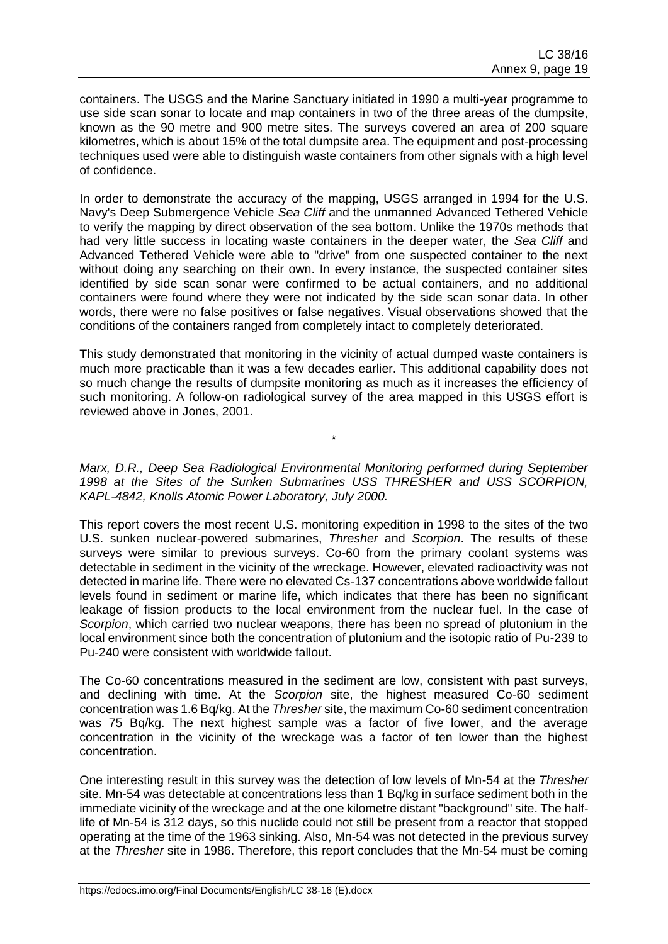containers. The USGS and the Marine Sanctuary initiated in 1990 a multi-year programme to use side scan sonar to locate and map containers in two of the three areas of the dumpsite, known as the 90 metre and 900 metre sites. The surveys covered an area of 200 square kilometres, which is about 15% of the total dumpsite area. The equipment and post-processing techniques used were able to distinguish waste containers from other signals with a high level of confidence.

In order to demonstrate the accuracy of the mapping, USGS arranged in 1994 for the U.S. Navy's Deep Submergence Vehicle *Sea Cliff* and the unmanned Advanced Tethered Vehicle to verify the mapping by direct observation of the sea bottom. Unlike the 1970s methods that had very little success in locating waste containers in the deeper water, the *Sea Cliff* and Advanced Tethered Vehicle were able to "drive" from one suspected container to the next without doing any searching on their own. In every instance, the suspected container sites identified by side scan sonar were confirmed to be actual containers, and no additional containers were found where they were not indicated by the side scan sonar data. In other words, there were no false positives or false negatives. Visual observations showed that the conditions of the containers ranged from completely intact to completely deteriorated.

This study demonstrated that monitoring in the vicinity of actual dumped waste containers is much more practicable than it was a few decades earlier. This additional capability does not so much change the results of dumpsite monitoring as much as it increases the efficiency of such monitoring. A follow-on radiological survey of the area mapped in this USGS effort is reviewed above in Jones, 2001.

*Marx, D.R., Deep Sea Radiological Environmental Monitoring performed during September 1998 at the Sites of the Sunken Submarines USS THRESHER and USS SCORPION, KAPL-4842, Knolls Atomic Power Laboratory, July 2000.*

\*

This report covers the most recent U.S. monitoring expedition in 1998 to the sites of the two U.S. sunken nuclear-powered submarines, *Thresher* and *Scorpion*. The results of these surveys were similar to previous surveys. Co-60 from the primary coolant systems was detectable in sediment in the vicinity of the wreckage. However, elevated radioactivity was not detected in marine life. There were no elevated Cs-137 concentrations above worldwide fallout levels found in sediment or marine life, which indicates that there has been no significant leakage of fission products to the local environment from the nuclear fuel. In the case of *Scorpion*, which carried two nuclear weapons, there has been no spread of plutonium in the local environment since both the concentration of plutonium and the isotopic ratio of Pu-239 to Pu-240 were consistent with worldwide fallout.

The Co-60 concentrations measured in the sediment are low, consistent with past surveys, and declining with time. At the *Scorpion* site, the highest measured Co-60 sediment concentration was 1.6 Bq/kg. At the *Thresher* site, the maximum Co-60 sediment concentration was 75 Bq/kg. The next highest sample was a factor of five lower, and the average concentration in the vicinity of the wreckage was a factor of ten lower than the highest concentration.

One interesting result in this survey was the detection of low levels of Mn-54 at the *Thresher* site. Mn-54 was detectable at concentrations less than 1 Bq/kg in surface sediment both in the immediate vicinity of the wreckage and at the one kilometre distant "background" site. The halflife of Mn-54 is 312 days, so this nuclide could not still be present from a reactor that stopped operating at the time of the 1963 sinking. Also, Mn-54 was not detected in the previous survey at the *Thresher* site in 1986. Therefore, this report concludes that the Mn-54 must be coming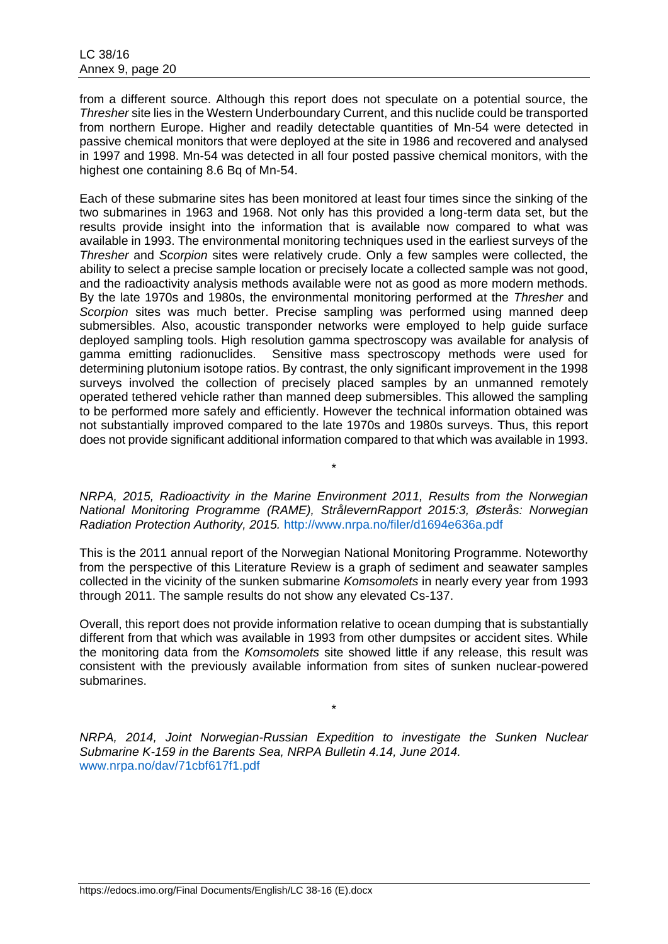from a different source. Although this report does not speculate on a potential source, the *Thresher* site lies in the Western Underboundary Current, and this nuclide could be transported from northern Europe. Higher and readily detectable quantities of Mn-54 were detected in passive chemical monitors that were deployed at the site in 1986 and recovered and analysed in 1997 and 1998. Mn-54 was detected in all four posted passive chemical monitors, with the highest one containing 8.6 Bq of Mn-54.

Each of these submarine sites has been monitored at least four times since the sinking of the two submarines in 1963 and 1968. Not only has this provided a long-term data set, but the results provide insight into the information that is available now compared to what was available in 1993. The environmental monitoring techniques used in the earliest surveys of the *Thresher* and *Scorpion* sites were relatively crude. Only a few samples were collected, the ability to select a precise sample location or precisely locate a collected sample was not good, and the radioactivity analysis methods available were not as good as more modern methods. By the late 1970s and 1980s, the environmental monitoring performed at the *Thresher* and *Scorpion* sites was much better. Precise sampling was performed using manned deep submersibles. Also, acoustic transponder networks were employed to help guide surface deployed sampling tools. High resolution gamma spectroscopy was available for analysis of gamma emitting radionuclides. Sensitive mass spectroscopy methods were used for determining plutonium isotope ratios. By contrast, the only significant improvement in the 1998 surveys involved the collection of precisely placed samples by an unmanned remotely operated tethered vehicle rather than manned deep submersibles. This allowed the sampling to be performed more safely and efficiently. However the technical information obtained was not substantially improved compared to the late 1970s and 1980s surveys. Thus, this report does not provide significant additional information compared to that which was available in 1993.

*NRPA, 2015, Radioactivity in the Marine Environment 2011, Results from the Norwegian National Monitoring Programme (RAME), StrålevernRapport 2015:3, Østerås: Norwegian Radiation Protection Authority, 2015.* http://www.nrpa.no/filer/d1694e636a.pdf

\*

This is the 2011 annual report of the Norwegian National Monitoring Programme. Noteworthy from the perspective of this Literature Review is a graph of sediment and seawater samples collected in the vicinity of the sunken submarine *Komsomolets* in nearly every year from 1993 through 2011. The sample results do not show any elevated Cs-137.

Overall, this report does not provide information relative to ocean dumping that is substantially different from that which was available in 1993 from other dumpsites or accident sites. While the monitoring data from the *Komsomolets* site showed little if any release, this result was consistent with the previously available information from sites of sunken nuclear-powered submarines.

*NRPA, 2014, Joint Norwegian-Russian Expedition to investigate the Sunken Nuclear Submarine K-159 in the Barents Sea, NRPA Bulletin 4.14, June 2014.* [www.nrpa.no/dav/71cbf617f1.pdf](http://www.nrpa.no/dav/71cbf617f1.pdf)

\*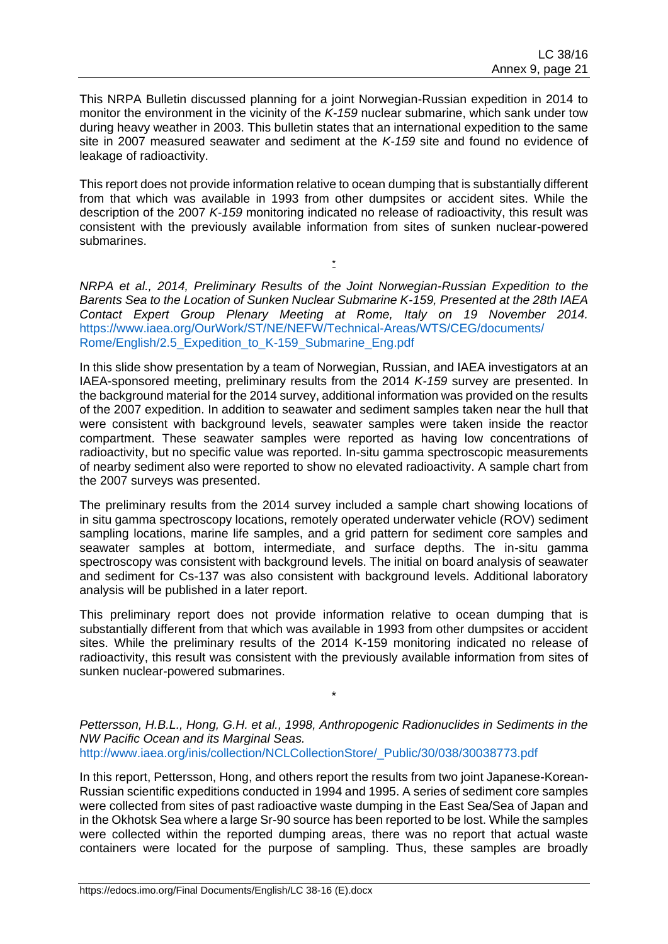This NRPA Bulletin discussed planning for a joint Norwegian-Russian expedition in 2014 to monitor the environment in the vicinity of the *K-159* nuclear submarine, which sank under tow during heavy weather in 2003. This bulletin states that an international expedition to the same site in 2007 measured seawater and sediment at the *K-159* site and found no evidence of leakage of radioactivity.

This report does not provide information relative to ocean dumping that is substantially different from that which was available in 1993 from other dumpsites or accident sites. While the description of the 2007 *K-159* monitoring indicated no release of radioactivity, this result was consistent with the previously available information from sites of sunken nuclear-powered submarines.

\*

*NRPA et al., 2014, Preliminary Results of the Joint Norwegian-Russian Expedition to the Barents Sea to the Location of Sunken Nuclear Submarine K-159, Presented at the 28th IAEA Contact Expert Group Plenary Meeting at Rome, Italy on 19 November 2014.*  [https://www.iaea.org/OurWork/ST/NE/NEFW/Technical-Areas/WTS/CEG/documents/](https://www.iaea.org/OurWork/ST/NE/NEFW/Technical-Areas/WTS/CEG/documents/%20Rome/English/2.5_Expedition_to_K-159_Submarine_Eng.pdf)  [Rome/English/2.5\\_Expedition\\_to\\_K-159\\_Submarine\\_Eng.pdf](https://www.iaea.org/OurWork/ST/NE/NEFW/Technical-Areas/WTS/CEG/documents/%20Rome/English/2.5_Expedition_to_K-159_Submarine_Eng.pdf)

In this slide show presentation by a team of Norwegian, Russian, and IAEA investigators at an IAEA-sponsored meeting, preliminary results from the 2014 *K-159* survey are presented. In the background material for the 2014 survey, additional information was provided on the results of the 2007 expedition. In addition to seawater and sediment samples taken near the hull that were consistent with background levels, seawater samples were taken inside the reactor compartment. These seawater samples were reported as having low concentrations of radioactivity, but no specific value was reported. In-situ gamma spectroscopic measurements of nearby sediment also were reported to show no elevated radioactivity. A sample chart from the 2007 surveys was presented.

The preliminary results from the 2014 survey included a sample chart showing locations of in situ gamma spectroscopy locations, remotely operated underwater vehicle (ROV) sediment sampling locations, marine life samples, and a grid pattern for sediment core samples and seawater samples at bottom, intermediate, and surface depths. The in-situ gamma spectroscopy was consistent with background levels. The initial on board analysis of seawater and sediment for Cs-137 was also consistent with background levels. Additional laboratory analysis will be published in a later report.

This preliminary report does not provide information relative to ocean dumping that is substantially different from that which was available in 1993 from other dumpsites or accident sites. While the preliminary results of the 2014 K-159 monitoring indicated no release of radioactivity, this result was consistent with the previously available information from sites of sunken nuclear-powered submarines.

*Pettersson, H.B.L., Hong, G.H. et al., 1998, Anthropogenic Radionuclides in Sediments in the NW Pacific Ocean and its Marginal Seas.* [http://www.iaea.org/inis/collection/NCLCollectionStore/\\_Public/30/038/30038773.pdf](http://www.iaea.org/inis/collection/NCLCollectionStore/_Public/30/038/30038773.pdf)

\*

In this report, Pettersson, Hong, and others report the results from two joint Japanese-Korean-Russian scientific expeditions conducted in 1994 and 1995. A series of sediment core samples were collected from sites of past radioactive waste dumping in the East Sea/Sea of Japan and in the Okhotsk Sea where a large Sr-90 source has been reported to be lost. While the samples were collected within the reported dumping areas, there was no report that actual waste containers were located for the purpose of sampling. Thus, these samples are broadly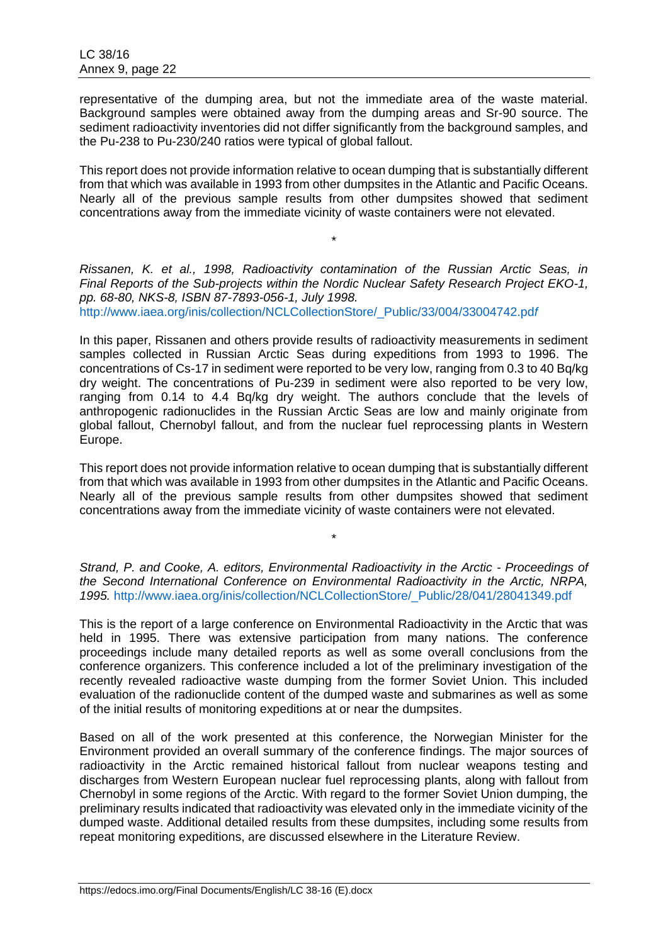representative of the dumping area, but not the immediate area of the waste material. Background samples were obtained away from the dumping areas and Sr-90 source. The sediment radioactivity inventories did not differ significantly from the background samples, and the Pu-238 to Pu-230/240 ratios were typical of global fallout.

This report does not provide information relative to ocean dumping that is substantially different from that which was available in 1993 from other dumpsites in the Atlantic and Pacific Oceans. Nearly all of the previous sample results from other dumpsites showed that sediment concentrations away from the immediate vicinity of waste containers were not elevated.

*Rissanen, K. et al., 1998, Radioactivity contamination of the Russian Arctic Seas, in Final Reports of the Sub-projects within the Nordic Nuclear Safety Research Project EKO-1, pp. 68-80, NKS-8, ISBN 87-7893-056-1, July 1998.* [http://www.iaea.org/inis/collection/NCLCollectionStore/\\_Public/33/004/33004742.pd](http://www.iaea.org/inis/collection/NCLCollectionStore/_Public/33/004/33004742.pdf)*f*

\*

In this paper, Rissanen and others provide results of radioactivity measurements in sediment samples collected in Russian Arctic Seas during expeditions from 1993 to 1996. The concentrations of Cs-17 in sediment were reported to be very low, ranging from 0.3 to 40 Bq/kg dry weight. The concentrations of Pu-239 in sediment were also reported to be very low, ranging from 0.14 to 4.4 Bq/kg dry weight. The authors conclude that the levels of anthropogenic radionuclides in the Russian Arctic Seas are low and mainly originate from global fallout, Chernobyl fallout, and from the nuclear fuel reprocessing plants in Western Europe.

This report does not provide information relative to ocean dumping that is substantially different from that which was available in 1993 from other dumpsites in the Atlantic and Pacific Oceans. Nearly all of the previous sample results from other dumpsites showed that sediment concentrations away from the immediate vicinity of waste containers were not elevated.

*Strand, P. and Cooke, A. editors, Environmental Radioactivity in the Arctic - Proceedings of the Second International Conference on Environmental Radioactivity in the Arctic, NRPA, 1995.* [http://www.iaea.org/inis/collection/NCLCollectionStore/\\_Public/28/041/28041349.pdf](http://www.iaea.org/inis/collection/NCLCollectionStore/_Public/28/041/28041349.pdf)

\*

This is the report of a large conference on Environmental Radioactivity in the Arctic that was held in 1995. There was extensive participation from many nations. The conference proceedings include many detailed reports as well as some overall conclusions from the conference organizers. This conference included a lot of the preliminary investigation of the recently revealed radioactive waste dumping from the former Soviet Union. This included evaluation of the radionuclide content of the dumped waste and submarines as well as some of the initial results of monitoring expeditions at or near the dumpsites.

Based on all of the work presented at this conference, the Norwegian Minister for the Environment provided an overall summary of the conference findings. The major sources of radioactivity in the Arctic remained historical fallout from nuclear weapons testing and discharges from Western European nuclear fuel reprocessing plants, along with fallout from Chernobyl in some regions of the Arctic. With regard to the former Soviet Union dumping, the preliminary results indicated that radioactivity was elevated only in the immediate vicinity of the dumped waste. Additional detailed results from these dumpsites, including some results from repeat monitoring expeditions, are discussed elsewhere in the Literature Review.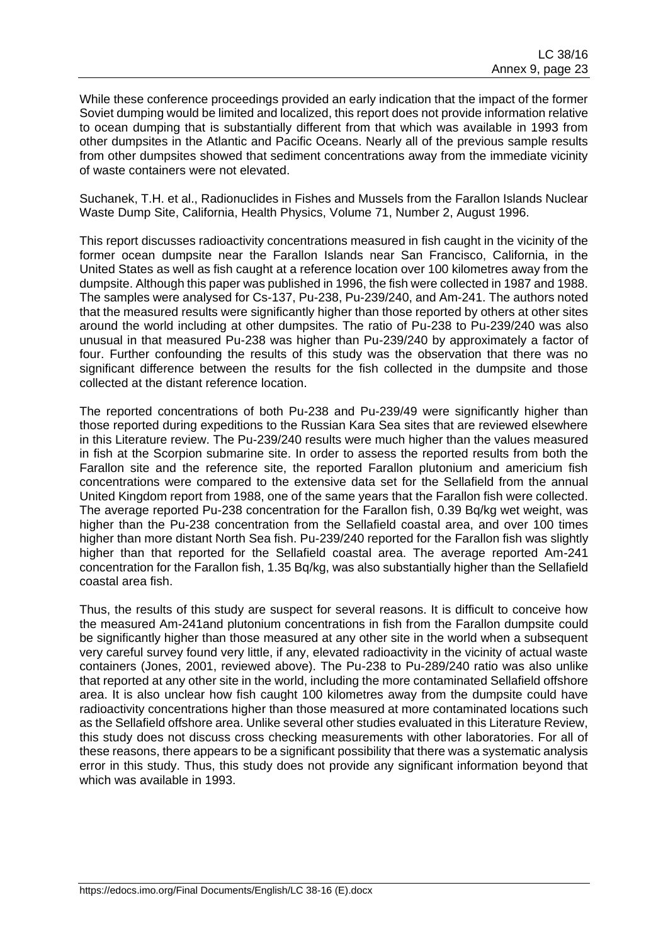While these conference proceedings provided an early indication that the impact of the former Soviet dumping would be limited and localized, this report does not provide information relative to ocean dumping that is substantially different from that which was available in 1993 from other dumpsites in the Atlantic and Pacific Oceans. Nearly all of the previous sample results from other dumpsites showed that sediment concentrations away from the immediate vicinity of waste containers were not elevated.

Suchanek, T.H. et al., Radionuclides in Fishes and Mussels from the Farallon Islands Nuclear Waste Dump Site, California, Health Physics, Volume 71, Number 2, August 1996.

This report discusses radioactivity concentrations measured in fish caught in the vicinity of the former ocean dumpsite near the Farallon Islands near San Francisco, California, in the United States as well as fish caught at a reference location over 100 kilometres away from the dumpsite. Although this paper was published in 1996, the fish were collected in 1987 and 1988. The samples were analysed for Cs-137, Pu-238, Pu-239/240, and Am-241. The authors noted that the measured results were significantly higher than those reported by others at other sites around the world including at other dumpsites. The ratio of Pu-238 to Pu-239/240 was also unusual in that measured Pu-238 was higher than Pu-239/240 by approximately a factor of four. Further confounding the results of this study was the observation that there was no significant difference between the results for the fish collected in the dumpsite and those collected at the distant reference location.

The reported concentrations of both Pu-238 and Pu-239/49 were significantly higher than those reported during expeditions to the Russian Kara Sea sites that are reviewed elsewhere in this Literature review. The Pu-239/240 results were much higher than the values measured in fish at the Scorpion submarine site. In order to assess the reported results from both the Farallon site and the reference site, the reported Farallon plutonium and americium fish concentrations were compared to the extensive data set for the Sellafield from the annual United Kingdom report from 1988, one of the same years that the Farallon fish were collected. The average reported Pu-238 concentration for the Farallon fish, 0.39 Bq/kg wet weight, was higher than the Pu-238 concentration from the Sellafield coastal area, and over 100 times higher than more distant North Sea fish. Pu-239/240 reported for the Farallon fish was slightly higher than that reported for the Sellafield coastal area. The average reported Am-241 concentration for the Farallon fish, 1.35 Bq/kg, was also substantially higher than the Sellafield coastal area fish.

Thus, the results of this study are suspect for several reasons. It is difficult to conceive how the measured Am-241and plutonium concentrations in fish from the Farallon dumpsite could be significantly higher than those measured at any other site in the world when a subsequent very careful survey found very little, if any, elevated radioactivity in the vicinity of actual waste containers (Jones, 2001, reviewed above). The Pu-238 to Pu-289/240 ratio was also unlike that reported at any other site in the world, including the more contaminated Sellafield offshore area. It is also unclear how fish caught 100 kilometres away from the dumpsite could have radioactivity concentrations higher than those measured at more contaminated locations such as the Sellafield offshore area. Unlike several other studies evaluated in this Literature Review, this study does not discuss cross checking measurements with other laboratories. For all of these reasons, there appears to be a significant possibility that there was a systematic analysis error in this study. Thus, this study does not provide any significant information beyond that which was available in 1993.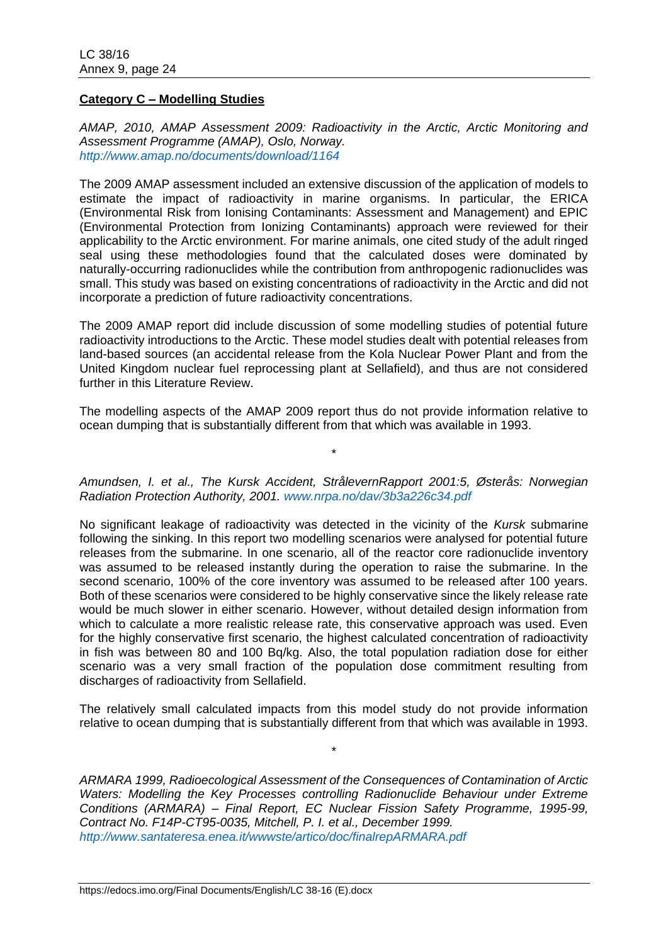#### **Category C – Modelling Studies**

*AMAP, 2010, AMAP Assessment 2009: Radioactivity in the Arctic, Arctic Monitoring and Assessment Programme (AMAP), Oslo, Norway. <http://www.amap.no/documents/download/1164>*

The 2009 AMAP assessment included an extensive discussion of the application of models to estimate the impact of radioactivity in marine organisms. In particular, the ERICA (Environmental Risk from Ionising Contaminants: Assessment and Management) and EPIC (Environmental Protection from Ionizing Contaminants) approach were reviewed for their applicability to the Arctic environment. For marine animals, one cited study of the adult ringed seal using these methodologies found that the calculated doses were dominated by naturally-occurring radionuclides while the contribution from anthropogenic radionuclides was small. This study was based on existing concentrations of radioactivity in the Arctic and did not incorporate a prediction of future radioactivity concentrations.

The 2009 AMAP report did include discussion of some modelling studies of potential future radioactivity introductions to the Arctic. These model studies dealt with potential releases from land-based sources (an accidental release from the Kola Nuclear Power Plant and from the United Kingdom nuclear fuel reprocessing plant at Sellafield), and thus are not considered further in this Literature Review.

The modelling aspects of the AMAP 2009 report thus do not provide information relative to ocean dumping that is substantially different from that which was available in 1993.

*Amundsen, I. et al., The Kursk Accident, StrålevernRapport 2001:5, Østerås: Norwegian Radiation Protection Authority, 2001. [www.nrpa.no/dav/3b3a226c34.pdf](http://www.nrpa.no/dav/3b3a226c34.pdf)*

\*

No significant leakage of radioactivity was detected in the vicinity of the *Kursk* submarine following the sinking. In this report two modelling scenarios were analysed for potential future releases from the submarine. In one scenario, all of the reactor core radionuclide inventory was assumed to be released instantly during the operation to raise the submarine. In the second scenario, 100% of the core inventory was assumed to be released after 100 years. Both of these scenarios were considered to be highly conservative since the likely release rate would be much slower in either scenario. However, without detailed design information from which to calculate a more realistic release rate, this conservative approach was used. Even for the highly conservative first scenario, the highest calculated concentration of radioactivity in fish was between 80 and 100 Bq/kg. Also, the total population radiation dose for either scenario was a very small fraction of the population dose commitment resulting from discharges of radioactivity from Sellafield.

The relatively small calculated impacts from this model study do not provide information relative to ocean dumping that is substantially different from that which was available in 1993.

\*

*ARMARA 1999, Radioecological Assessment of the Consequences of Contamination of Arctic Waters: Modelling the Key Processes controlling Radionuclide Behaviour under Extreme Conditions (ARMARA) – Final Report, EC Nuclear Fission Safety Programme, 1995-99, Contract No. F14P-CT95-0035, Mitchell, P. I. et al., December 1999. <http://www.santateresa.enea.it/wwwste/artico/doc/finalrepARMARA.pdf>*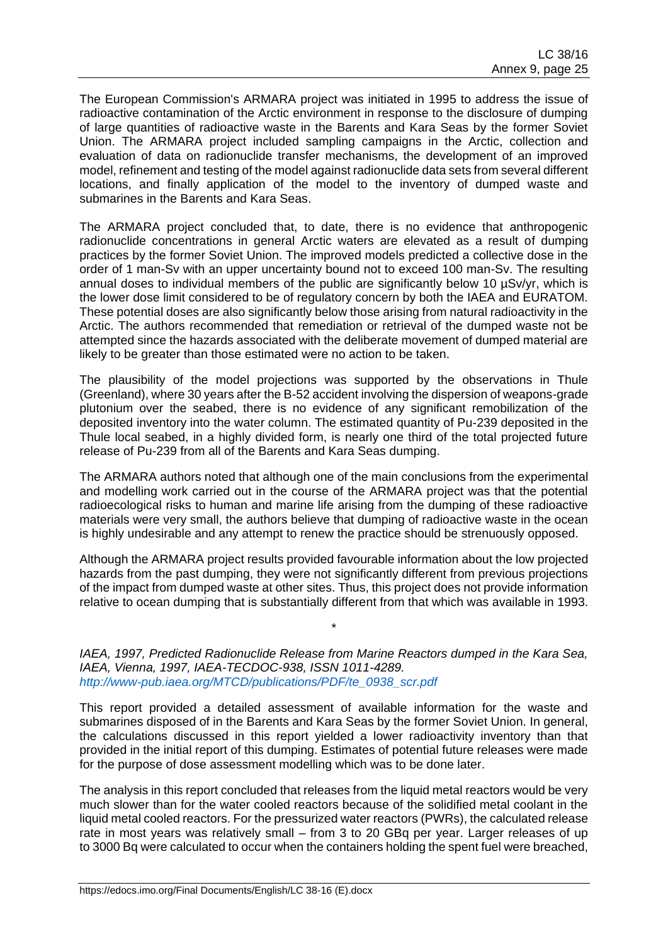The European Commission's ARMARA project was initiated in 1995 to address the issue of radioactive contamination of the Arctic environment in response to the disclosure of dumping of large quantities of radioactive waste in the Barents and Kara Seas by the former Soviet Union. The ARMARA project included sampling campaigns in the Arctic, collection and evaluation of data on radionuclide transfer mechanisms, the development of an improved model, refinement and testing of the model against radionuclide data sets from several different locations, and finally application of the model to the inventory of dumped waste and submarines in the Barents and Kara Seas.

The ARMARA project concluded that, to date, there is no evidence that anthropogenic radionuclide concentrations in general Arctic waters are elevated as a result of dumping practices by the former Soviet Union. The improved models predicted a collective dose in the order of 1 man-Sv with an upper uncertainty bound not to exceed 100 man-Sv. The resulting annual doses to individual members of the public are significantly below 10 µSv/yr, which is the lower dose limit considered to be of regulatory concern by both the IAEA and EURATOM. These potential doses are also significantly below those arising from natural radioactivity in the Arctic. The authors recommended that remediation or retrieval of the dumped waste not be attempted since the hazards associated with the deliberate movement of dumped material are likely to be greater than those estimated were no action to be taken.

The plausibility of the model projections was supported by the observations in Thule (Greenland), where 30 years after the B-52 accident involving the dispersion of weapons-grade plutonium over the seabed, there is no evidence of any significant remobilization of the deposited inventory into the water column. The estimated quantity of Pu-239 deposited in the Thule local seabed, in a highly divided form, is nearly one third of the total projected future release of Pu-239 from all of the Barents and Kara Seas dumping.

The ARMARA authors noted that although one of the main conclusions from the experimental and modelling work carried out in the course of the ARMARA project was that the potential radioecological risks to human and marine life arising from the dumping of these radioactive materials were very small, the authors believe that dumping of radioactive waste in the ocean is highly undesirable and any attempt to renew the practice should be strenuously opposed.

Although the ARMARA project results provided favourable information about the low projected hazards from the past dumping, they were not significantly different from previous projections of the impact from dumped waste at other sites. Thus, this project does not provide information relative to ocean dumping that is substantially different from that which was available in 1993.

*IAEA, 1997, Predicted Radionuclide Release from Marine Reactors dumped in the Kara Sea, IAEA, Vienna, 1997, IAEA-TECDOC-938, ISSN 1011-4289. [http://www-pub.iaea.org/MTCD/publications/PDF/te\\_0938\\_scr.pdf](http://www-pub.iaea.org/MTCD/publications/PDF/te_0938_scr.pdf)*

\*

This report provided a detailed assessment of available information for the waste and submarines disposed of in the Barents and Kara Seas by the former Soviet Union. In general, the calculations discussed in this report yielded a lower radioactivity inventory than that provided in the initial report of this dumping. Estimates of potential future releases were made for the purpose of dose assessment modelling which was to be done later.

The analysis in this report concluded that releases from the liquid metal reactors would be very much slower than for the water cooled reactors because of the solidified metal coolant in the liquid metal cooled reactors. For the pressurized water reactors (PWRs), the calculated release rate in most years was relatively small – from 3 to 20 GBq per year. Larger releases of up to 3000 Bq were calculated to occur when the containers holding the spent fuel were breached,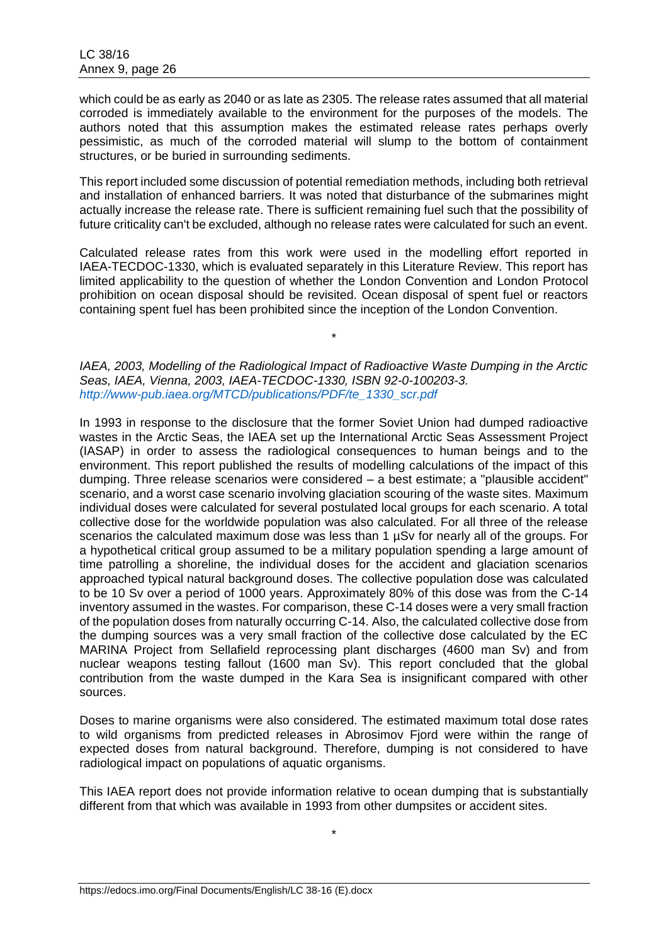which could be as early as 2040 or as late as 2305. The release rates assumed that all material corroded is immediately available to the environment for the purposes of the models. The authors noted that this assumption makes the estimated release rates perhaps overly pessimistic, as much of the corroded material will slump to the bottom of containment structures, or be buried in surrounding sediments.

This report included some discussion of potential remediation methods, including both retrieval and installation of enhanced barriers. It was noted that disturbance of the submarines might actually increase the release rate. There is sufficient remaining fuel such that the possibility of future criticality can't be excluded, although no release rates were calculated for such an event.

Calculated release rates from this work were used in the modelling effort reported in IAEA-TECDOC-1330, which is evaluated separately in this Literature Review. This report has limited applicability to the question of whether the London Convention and London Protocol prohibition on ocean disposal should be revisited. Ocean disposal of spent fuel or reactors containing spent fuel has been prohibited since the inception of the London Convention.

*IAEA, 2003, Modelling of the Radiological Impact of Radioactive Waste Dumping in the Arctic Seas, IAEA, Vienna, 2003, IAEA-TECDOC-1330, ISBN 92-0-100203-3. [http://www-pub.iaea.org/MTCD/publications/PDF/te\\_1330\\_scr.pdf](http://www-pub.iaea.org/MTCD/publications/PDF/te_1330_scr.pdf)*

\*

In 1993 in response to the disclosure that the former Soviet Union had dumped radioactive wastes in the Arctic Seas, the IAEA set up the International Arctic Seas Assessment Project (IASAP) in order to assess the radiological consequences to human beings and to the environment. This report published the results of modelling calculations of the impact of this dumping. Three release scenarios were considered – a best estimate; a "plausible accident" scenario, and a worst case scenario involving glaciation scouring of the waste sites. Maximum individual doses were calculated for several postulated local groups for each scenario. A total collective dose for the worldwide population was also calculated. For all three of the release scenarios the calculated maximum dose was less than 1 µSv for nearly all of the groups. For a hypothetical critical group assumed to be a military population spending a large amount of time patrolling a shoreline, the individual doses for the accident and glaciation scenarios approached typical natural background doses. The collective population dose was calculated to be 10 Sv over a period of 1000 years. Approximately 80% of this dose was from the C-14 inventory assumed in the wastes. For comparison, these C-14 doses were a very small fraction of the population doses from naturally occurring C-14. Also, the calculated collective dose from the dumping sources was a very small fraction of the collective dose calculated by the EC MARINA Project from Sellafield reprocessing plant discharges (4600 man Sv) and from nuclear weapons testing fallout (1600 man Sv). This report concluded that the global contribution from the waste dumped in the Kara Sea is insignificant compared with other sources.

Doses to marine organisms were also considered. The estimated maximum total dose rates to wild organisms from predicted releases in Abrosimov Fjord were within the range of expected doses from natural background. Therefore, dumping is not considered to have radiological impact on populations of aquatic organisms.

This IAEA report does not provide information relative to ocean dumping that is substantially different from that which was available in 1993 from other dumpsites or accident sites.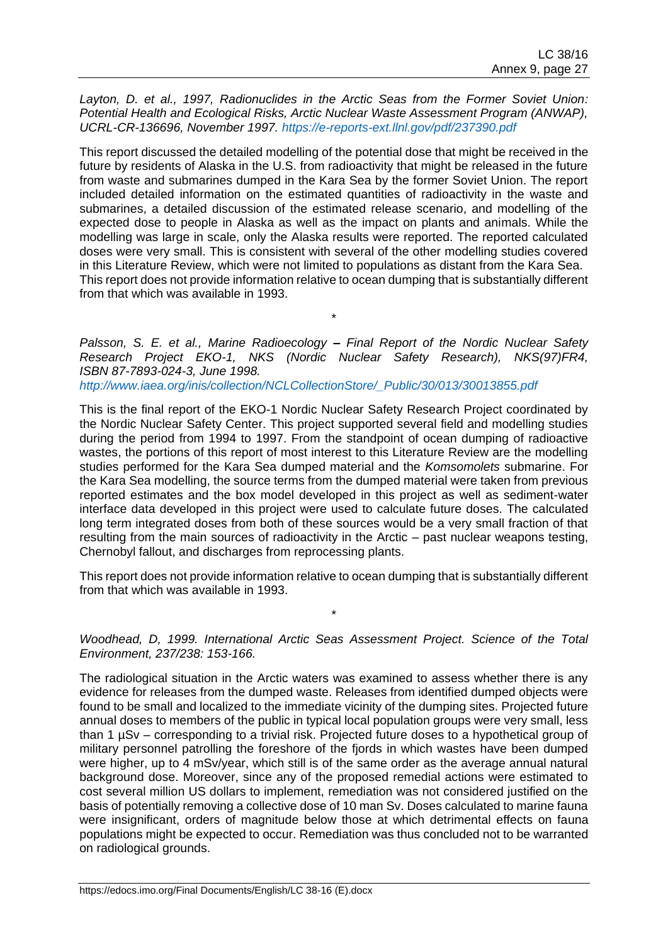*Layton, D. et al., 1997, Radionuclides in the Arctic Seas from the Former Soviet Union: Potential Health and Ecological Risks, Arctic Nuclear Waste Assessment Program (ANWAP), UCRL-CR-136696, November 1997.<https://e-reports-ext.llnl.gov/pdf/237390.pdf>*

This report discussed the detailed modelling of the potential dose that might be received in the future by residents of Alaska in the U.S. from radioactivity that might be released in the future from waste and submarines dumped in the Kara Sea by the former Soviet Union. The report included detailed information on the estimated quantities of radioactivity in the waste and submarines, a detailed discussion of the estimated release scenario, and modelling of the expected dose to people in Alaska as well as the impact on plants and animals. While the modelling was large in scale, only the Alaska results were reported. The reported calculated doses were very small. This is consistent with several of the other modelling studies covered in this Literature Review, which were not limited to populations as distant from the Kara Sea. This report does not provide information relative to ocean dumping that is substantially different from that which was available in 1993.

*Palsson, S. E. et al., Marine Radioecology – Final Report of the Nordic Nuclear Safety Research Project EKO-1, NKS (Nordic Nuclear Safety Research), NKS(97)FR4, ISBN 87-7893-024-3, June 1998.*

\*

*[http://www.iaea.org/inis/collection/NCLCollectionStore/\\_Public/30/013/30013855.pdf](http://www.iaea.org/inis/collection/NCLCollectionStore/_Public/30/013/30013855.pdf)*

This is the final report of the EKO-1 Nordic Nuclear Safety Research Project coordinated by the Nordic Nuclear Safety Center. This project supported several field and modelling studies during the period from 1994 to 1997. From the standpoint of ocean dumping of radioactive wastes, the portions of this report of most interest to this Literature Review are the modelling studies performed for the Kara Sea dumped material and the *Komsomolets* submarine. For the Kara Sea modelling, the source terms from the dumped material were taken from previous reported estimates and the box model developed in this project as well as sediment-water interface data developed in this project were used to calculate future doses. The calculated long term integrated doses from both of these sources would be a very small fraction of that resulting from the main sources of radioactivity in the Arctic – past nuclear weapons testing, Chernobyl fallout, and discharges from reprocessing plants.

This report does not provide information relative to ocean dumping that is substantially different from that which was available in 1993.

\*

*Woodhead, D, 1999. International Arctic Seas Assessment Project. Science of the Total Environment, 237/238: 153-166.*

The radiological situation in the Arctic waters was examined to assess whether there is any evidence for releases from the dumped waste. Releases from identified dumped objects were found to be small and localized to the immediate vicinity of the dumping sites. Projected future annual doses to members of the public in typical local population groups were very small, less than 1 µSv – corresponding to a trivial risk. Projected future doses to a hypothetical group of military personnel patrolling the foreshore of the fjords in which wastes have been dumped were higher, up to 4 mSv/year, which still is of the same order as the average annual natural background dose. Moreover, since any of the proposed remedial actions were estimated to cost several million US dollars to implement, remediation was not considered justified on the basis of potentially removing a collective dose of 10 man Sv. Doses calculated to marine fauna were insignificant, orders of magnitude below those at which detrimental effects on fauna populations might be expected to occur. Remediation was thus concluded not to be warranted on radiological grounds.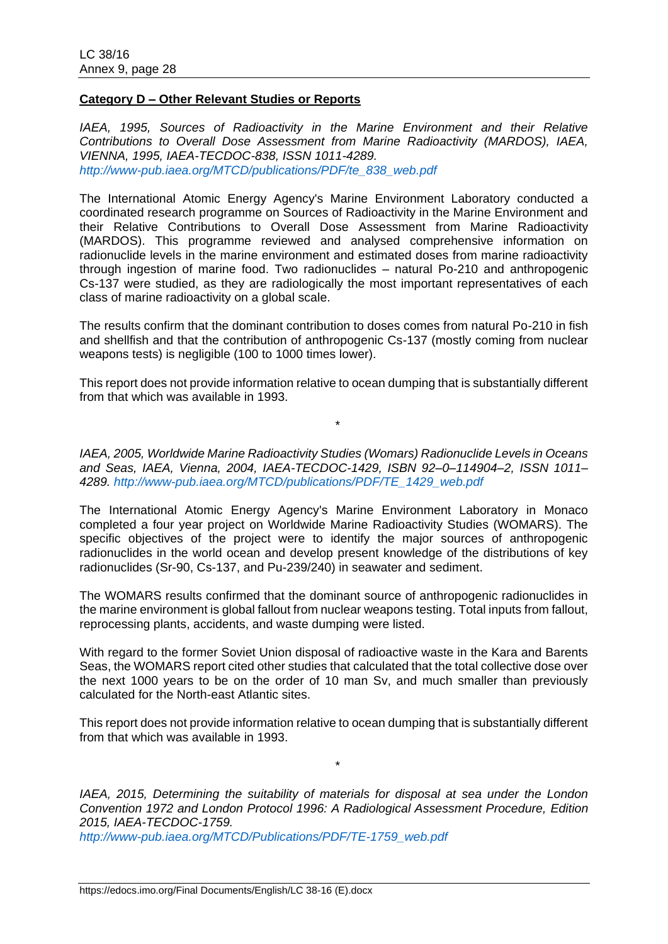### **Category D – Other Relevant Studies or Reports**

*IAEA, 1995, Sources of Radioactivity in the Marine Environment and their Relative Contributions to Overall Dose Assessment from Marine Radioactivity (MARDOS), IAEA, VIENNA, 1995, IAEA-TECDOC-838, ISSN 1011-4289. [http://www-pub.iaea.org/MTCD/publications/PDF/te\\_838\\_web.pdf](http://www-pub.iaea.org/MTCD/publications/PDF/te_838_web.pdf)*

The International Atomic Energy Agency's Marine Environment Laboratory conducted a coordinated research programme on Sources of Radioactivity in the Marine Environment and their Relative Contributions to Overall Dose Assessment from Marine Radioactivity (MARDOS). This programme reviewed and analysed comprehensive information on radionuclide levels in the marine environment and estimated doses from marine radioactivity through ingestion of marine food. Two radionuclides – natural Po-210 and anthropogenic Cs-137 were studied, as they are radiologically the most important representatives of each class of marine radioactivity on a global scale.

The results confirm that the dominant contribution to doses comes from natural Po-210 in fish and shellfish and that the contribution of anthropogenic Cs-137 (mostly coming from nuclear weapons tests) is negligible (100 to 1000 times lower).

This report does not provide information relative to ocean dumping that is substantially different from that which was available in 1993.

\*

*IAEA, 2005, Worldwide Marine Radioactivity Studies (Womars) Radionuclide Levels in Oceans and Seas, IAEA, Vienna, 2004, IAEA-TECDOC-1429, ISBN 92–0–114904–2, ISSN 1011– 4289. [http://www-pub.iaea.org/MTCD/publications/PDF/TE\\_1429\\_web.pdf](http://www-pub.iaea.org/MTCD/publications/PDF/TE_1429_web.pdf)*

The International Atomic Energy Agency's Marine Environment Laboratory in Monaco completed a four year project on Worldwide Marine Radioactivity Studies (WOMARS). The specific objectives of the project were to identify the major sources of anthropogenic radionuclides in the world ocean and develop present knowledge of the distributions of key radionuclides (Sr-90, Cs-137, and Pu-239/240) in seawater and sediment.

The WOMARS results confirmed that the dominant source of anthropogenic radionuclides in the marine environment is global fallout from nuclear weapons testing. Total inputs from fallout, reprocessing plants, accidents, and waste dumping were listed.

With regard to the former Soviet Union disposal of radioactive waste in the Kara and Barents Seas, the WOMARS report cited other studies that calculated that the total collective dose over the next 1000 years to be on the order of 10 man Sv, and much smaller than previously calculated for the North-east Atlantic sites.

This report does not provide information relative to ocean dumping that is substantially different from that which was available in 1993.

\*

*IAEA, 2015, Determining the suitability of materials for disposal at sea under the London Convention 1972 and London Protocol 1996: A Radiological Assessment Procedure, Edition 2015, IAEA-TECDOC-1759.*

*[http://www-pub.iaea.org/MTCD/Publications/PDF/TE-1759\\_web.pdf](http://www-pub.iaea.org/MTCD/Publications/PDF/TE-1759_web.pdf)*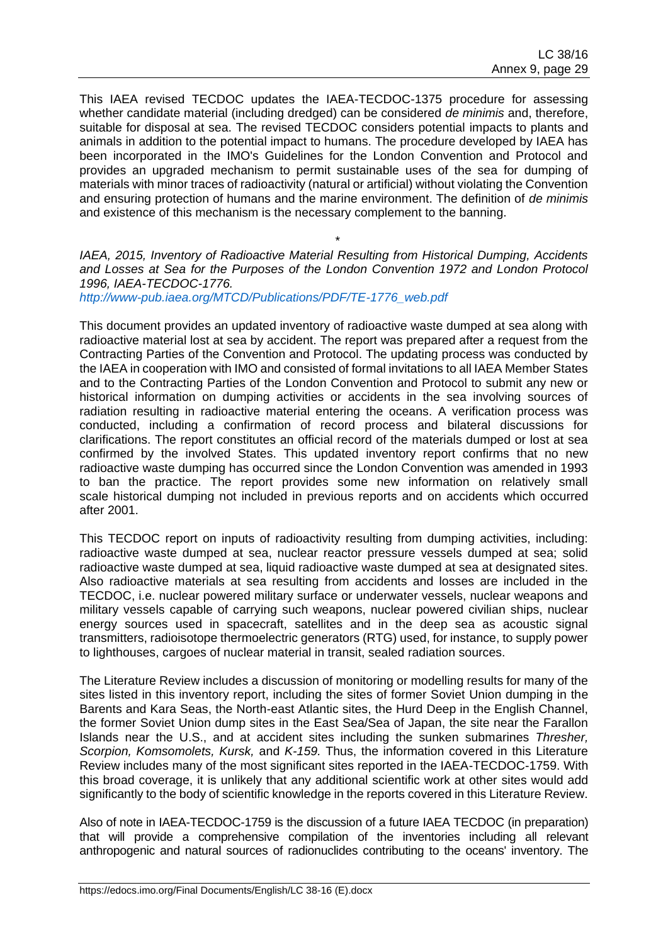This IAEA revised TECDOC updates the IAEA-TECDOC-1375 procedure for assessing whether candidate material (including dredged) can be considered *de minimis* and, therefore, suitable for disposal at sea. The revised TECDOC considers potential impacts to plants and animals in addition to the potential impact to humans. The procedure developed by IAEA has been incorporated in the IMO's Guidelines for the London Convention and Protocol and provides an upgraded mechanism to permit sustainable uses of the sea for dumping of materials with minor traces of radioactivity (natural or artificial) without violating the Convention and ensuring protection of humans and the marine environment. The definition of *de minimis* and existence of this mechanism is the necessary complement to the banning.

*IAEA, 2015, Inventory of Radioactive Material Resulting from Historical Dumping, Accidents and Losses at Sea for the Purposes of the London Convention 1972 and London Protocol 1996, IAEA-TECDOC-1776.*

\*

*[http://www-pub.iaea.org/MTCD/Publications/PDF/TE-1776\\_web.pdf](http://www-pub.iaea.org/MTCD/Publications/PDF/TE-1776_web.pdf)*

This document provides an updated inventory of radioactive waste dumped at sea along with radioactive material lost at sea by accident. The report was prepared after a request from the Contracting Parties of the Convention and Protocol. The updating process was conducted by the IAEA in cooperation with IMO and consisted of formal invitations to all IAEA Member States and to the Contracting Parties of the London Convention and Protocol to submit any new or historical information on dumping activities or accidents in the sea involving sources of radiation resulting in radioactive material entering the oceans. A verification process was conducted, including a confirmation of record process and bilateral discussions for clarifications. The report constitutes an official record of the materials dumped or lost at sea confirmed by the involved States. This updated inventory report confirms that no new radioactive waste dumping has occurred since the London Convention was amended in 1993 to ban the practice. The report provides some new information on relatively small scale historical dumping not included in previous reports and on accidents which occurred after 2001.

This TECDOC report on inputs of radioactivity resulting from dumping activities, including: radioactive waste dumped at sea, nuclear reactor pressure vessels dumped at sea; solid radioactive waste dumped at sea, liquid radioactive waste dumped at sea at designated sites. Also radioactive materials at sea resulting from accidents and losses are included in the TECDOC, i.e. nuclear powered military surface or underwater vessels, nuclear weapons and military vessels capable of carrying such weapons, nuclear powered civilian ships, nuclear energy sources used in spacecraft, satellites and in the deep sea as acoustic signal transmitters, radioisotope thermoelectric generators (RTG) used, for instance, to supply power to lighthouses, cargoes of nuclear material in transit, sealed radiation sources.

The Literature Review includes a discussion of monitoring or modelling results for many of the sites listed in this inventory report, including the sites of former Soviet Union dumping in the Barents and Kara Seas, the North-east Atlantic sites, the Hurd Deep in the English Channel, the former Soviet Union dump sites in the East Sea/Sea of Japan, the site near the Farallon Islands near the U.S., and at accident sites including the sunken submarines *Thresher, Scorpion, Komsomolets, Kursk,* and *K-159.* Thus, the information covered in this Literature Review includes many of the most significant sites reported in the IAEA-TECDOC-1759. With this broad coverage, it is unlikely that any additional scientific work at other sites would add significantly to the body of scientific knowledge in the reports covered in this Literature Review.

Also of note in IAEA-TECDOC-1759 is the discussion of a future IAEA TECDOC (in preparation) that will provide a comprehensive compilation of the inventories including all relevant anthropogenic and natural sources of radionuclides contributing to the oceans' inventory. The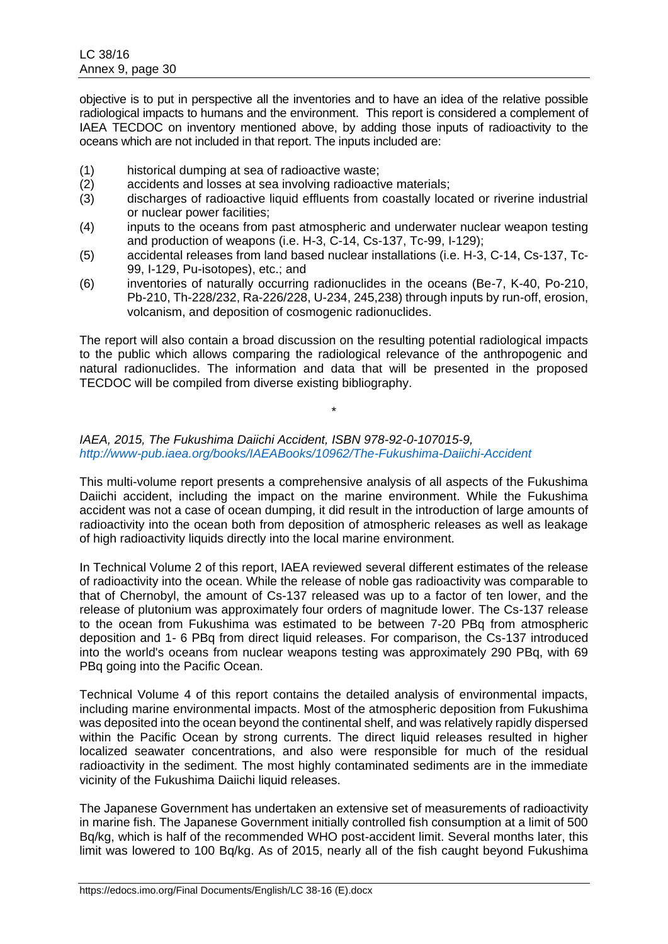objective is to put in perspective all the inventories and to have an idea of the relative possible radiological impacts to humans and the environment. This report is considered a complement of IAEA TECDOC on inventory mentioned above, by adding those inputs of radioactivity to the oceans which are not included in that report. The inputs included are:

- (1) historical dumping at sea of radioactive waste;
- (2) accidents and losses at sea involving radioactive materials;
- (3) discharges of radioactive liquid effluents from coastally located or riverine industrial or nuclear power facilities;
- (4) inputs to the oceans from past atmospheric and underwater nuclear weapon testing and production of weapons (i.e. H-3, C-14, Cs-137, Tc-99, I-129);
- (5) accidental releases from land based nuclear installations (i.e. H-3, C-14, Cs-137, Tc-99, I-129, Pu-isotopes), etc.; and
- (6) inventories of naturally occurring radionuclides in the oceans (Be-7, K-40, Po-210, Pb-210, Th-228/232, Ra-226/228, U-234, 245,238) through inputs by run-off, erosion, volcanism, and deposition of cosmogenic radionuclides.

The report will also contain a broad discussion on the resulting potential radiological impacts to the public which allows comparing the radiological relevance of the anthropogenic and natural radionuclides. The information and data that will be presented in the proposed TECDOC will be compiled from diverse existing bibliography.

\*

## *IAEA, 2015, The Fukushima Daiichi Accident, ISBN 978-92-0-107015-9, <http://www-pub.iaea.org/books/IAEABooks/10962/The-Fukushima-Daiichi-Accident>*

This multi-volume report presents a comprehensive analysis of all aspects of the Fukushima Daiichi accident, including the impact on the marine environment. While the Fukushima accident was not a case of ocean dumping, it did result in the introduction of large amounts of radioactivity into the ocean both from deposition of atmospheric releases as well as leakage of high radioactivity liquids directly into the local marine environment.

In Technical Volume 2 of this report, IAEA reviewed several different estimates of the release of radioactivity into the ocean. While the release of noble gas radioactivity was comparable to that of Chernobyl, the amount of Cs-137 released was up to a factor of ten lower, and the release of plutonium was approximately four orders of magnitude lower. The Cs-137 release to the ocean from Fukushima was estimated to be between 7-20 PBq from atmospheric deposition and 1- 6 PBq from direct liquid releases. For comparison, the Cs-137 introduced into the world's oceans from nuclear weapons testing was approximately 290 PBq, with 69 PBq going into the Pacific Ocean.

Technical Volume 4 of this report contains the detailed analysis of environmental impacts, including marine environmental impacts. Most of the atmospheric deposition from Fukushima was deposited into the ocean beyond the continental shelf, and was relatively rapidly dispersed within the Pacific Ocean by strong currents. The direct liquid releases resulted in higher localized seawater concentrations, and also were responsible for much of the residual radioactivity in the sediment. The most highly contaminated sediments are in the immediate vicinity of the Fukushima Daiichi liquid releases.

The Japanese Government has undertaken an extensive set of measurements of radioactivity in marine fish. The Japanese Government initially controlled fish consumption at a limit of 500 Bq/kg, which is half of the recommended WHO post-accident limit. Several months later, this limit was lowered to 100 Bq/kg. As of 2015, nearly all of the fish caught beyond Fukushima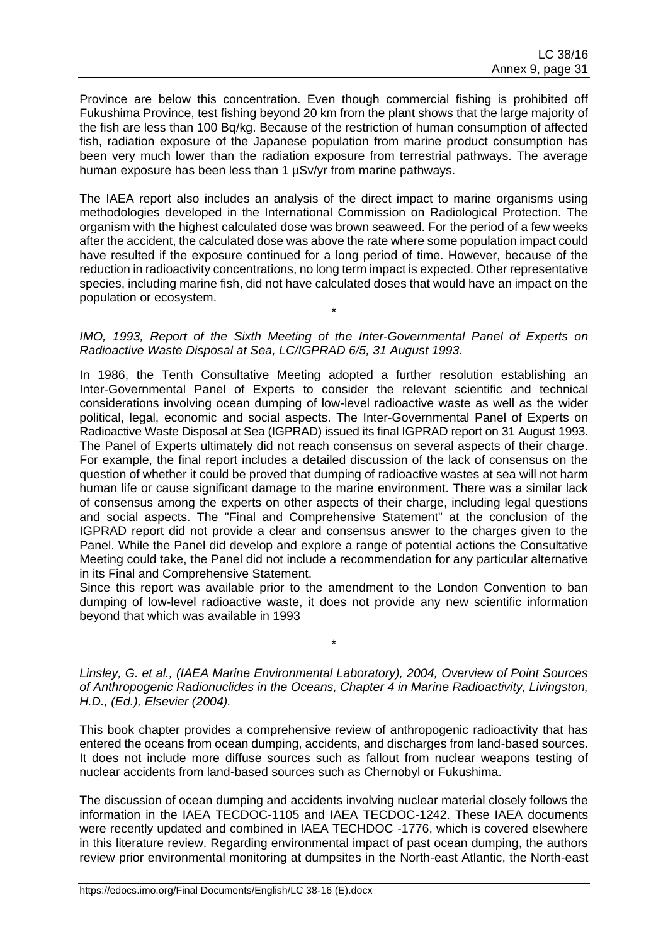Province are below this concentration. Even though commercial fishing is prohibited off Fukushima Province, test fishing beyond 20 km from the plant shows that the large majority of the fish are less than 100 Bq/kg. Because of the restriction of human consumption of affected fish, radiation exposure of the Japanese population from marine product consumption has been very much lower than the radiation exposure from terrestrial pathways. The average human exposure has been less than 1 µSv/yr from marine pathways.

The IAEA report also includes an analysis of the direct impact to marine organisms using methodologies developed in the International Commission on Radiological Protection. The organism with the highest calculated dose was brown seaweed. For the period of a few weeks after the accident, the calculated dose was above the rate where some population impact could have resulted if the exposure continued for a long period of time. However, because of the reduction in radioactivity concentrations, no long term impact is expected. Other representative species, including marine fish, did not have calculated doses that would have an impact on the population or ecosystem.

#### *IMO, 1993, Report of the Sixth Meeting of the Inter-Governmental Panel of Experts on Radioactive Waste Disposal at Sea, LC/IGPRAD 6/5, 31 August 1993.*

\*

In 1986, the Tenth Consultative Meeting adopted a further resolution establishing an Inter-Governmental Panel of Experts to consider the relevant scientific and technical considerations involving ocean dumping of low-level radioactive waste as well as the wider political, legal, economic and social aspects. The Inter-Governmental Panel of Experts on Radioactive Waste Disposal at Sea (IGPRAD) issued its final IGPRAD report on 31 August 1993. The Panel of Experts ultimately did not reach consensus on several aspects of their charge. For example, the final report includes a detailed discussion of the lack of consensus on the question of whether it could be proved that dumping of radioactive wastes at sea will not harm human life or cause significant damage to the marine environment. There was a similar lack of consensus among the experts on other aspects of their charge, including legal questions and social aspects. The "Final and Comprehensive Statement" at the conclusion of the IGPRAD report did not provide a clear and consensus answer to the charges given to the Panel. While the Panel did develop and explore a range of potential actions the Consultative Meeting could take, the Panel did not include a recommendation for any particular alternative in its Final and Comprehensive Statement.

Since this report was available prior to the amendment to the London Convention to ban dumping of low-level radioactive waste, it does not provide any new scientific information beyond that which was available in 1993

### *Linsley, G. et al., (IAEA Marine Environmental Laboratory), 2004, Overview of Point Sources of Anthropogenic Radionuclides in the Oceans, Chapter 4 in Marine Radioactivity, Livingston, H.D., (Ed.), Elsevier (2004).*

\*

This book chapter provides a comprehensive review of anthropogenic radioactivity that has entered the oceans from ocean dumping, accidents, and discharges from land-based sources. It does not include more diffuse sources such as fallout from nuclear weapons testing of nuclear accidents from land-based sources such as Chernobyl or Fukushima.

The discussion of ocean dumping and accidents involving nuclear material closely follows the information in the IAEA TECDOC-1105 and IAEA TECDOC-1242. These IAEA documents were recently updated and combined in IAEA TECHDOC -1776, which is covered elsewhere in this literature review. Regarding environmental impact of past ocean dumping, the authors review prior environmental monitoring at dumpsites in the North-east Atlantic, the North-east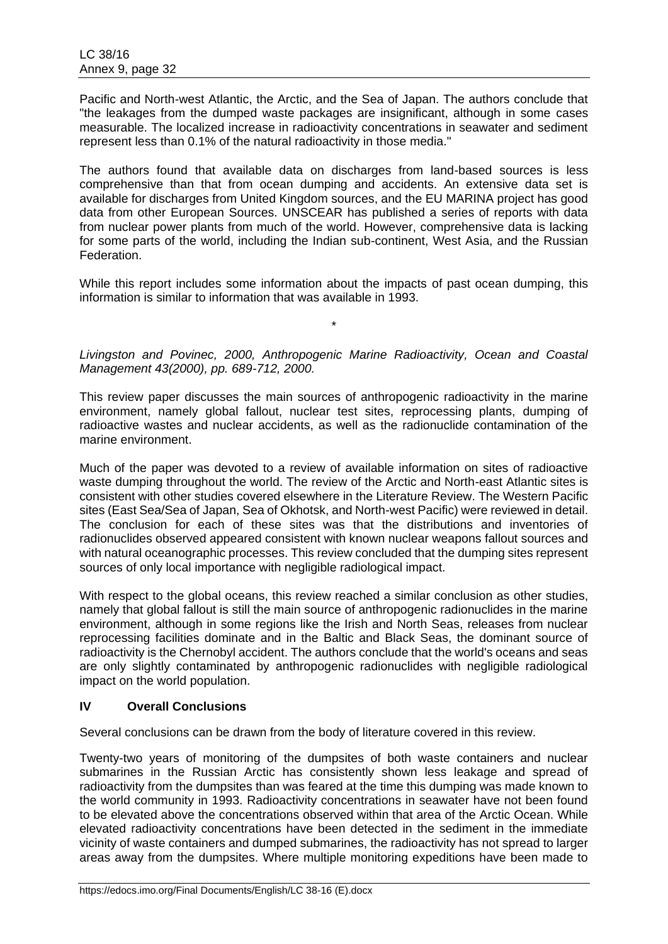Pacific and North-west Atlantic, the Arctic, and the Sea of Japan. The authors conclude that "the leakages from the dumped waste packages are insignificant, although in some cases measurable. The localized increase in radioactivity concentrations in seawater and sediment represent less than 0.1% of the natural radioactivity in those media."

The authors found that available data on discharges from land-based sources is less comprehensive than that from ocean dumping and accidents. An extensive data set is available for discharges from United Kingdom sources, and the EU MARINA project has good data from other European Sources. UNSCEAR has published a series of reports with data from nuclear power plants from much of the world. However, comprehensive data is lacking for some parts of the world, including the Indian sub-continent, West Asia, and the Russian Federation.

While this report includes some information about the impacts of past ocean dumping, this information is similar to information that was available in 1993.

*Livingston and Povinec, 2000, Anthropogenic Marine Radioactivity, Ocean and Coastal Management 43(2000), pp. 689-712, 2000.*

\*

This review paper discusses the main sources of anthropogenic radioactivity in the marine environment, namely global fallout, nuclear test sites, reprocessing plants, dumping of radioactive wastes and nuclear accidents, as well as the radionuclide contamination of the marine environment.

Much of the paper was devoted to a review of available information on sites of radioactive waste dumping throughout the world. The review of the Arctic and North-east Atlantic sites is consistent with other studies covered elsewhere in the Literature Review. The Western Pacific sites (East Sea/Sea of Japan, Sea of Okhotsk, and North-west Pacific) were reviewed in detail. The conclusion for each of these sites was that the distributions and inventories of radionuclides observed appeared consistent with known nuclear weapons fallout sources and with natural oceanographic processes. This review concluded that the dumping sites represent sources of only local importance with negligible radiological impact.

With respect to the global oceans, this review reached a similar conclusion as other studies, namely that global fallout is still the main source of anthropogenic radionuclides in the marine environment, although in some regions like the Irish and North Seas, releases from nuclear reprocessing facilities dominate and in the Baltic and Black Seas, the dominant source of radioactivity is the Chernobyl accident. The authors conclude that the world's oceans and seas are only slightly contaminated by anthropogenic radionuclides with negligible radiological impact on the world population.

# **IV Overall Conclusions**

Several conclusions can be drawn from the body of literature covered in this review.

Twenty-two years of monitoring of the dumpsites of both waste containers and nuclear submarines in the Russian Arctic has consistently shown less leakage and spread of radioactivity from the dumpsites than was feared at the time this dumping was made known to the world community in 1993. Radioactivity concentrations in seawater have not been found to be elevated above the concentrations observed within that area of the Arctic Ocean. While elevated radioactivity concentrations have been detected in the sediment in the immediate vicinity of waste containers and dumped submarines, the radioactivity has not spread to larger areas away from the dumpsites. Where multiple monitoring expeditions have been made to